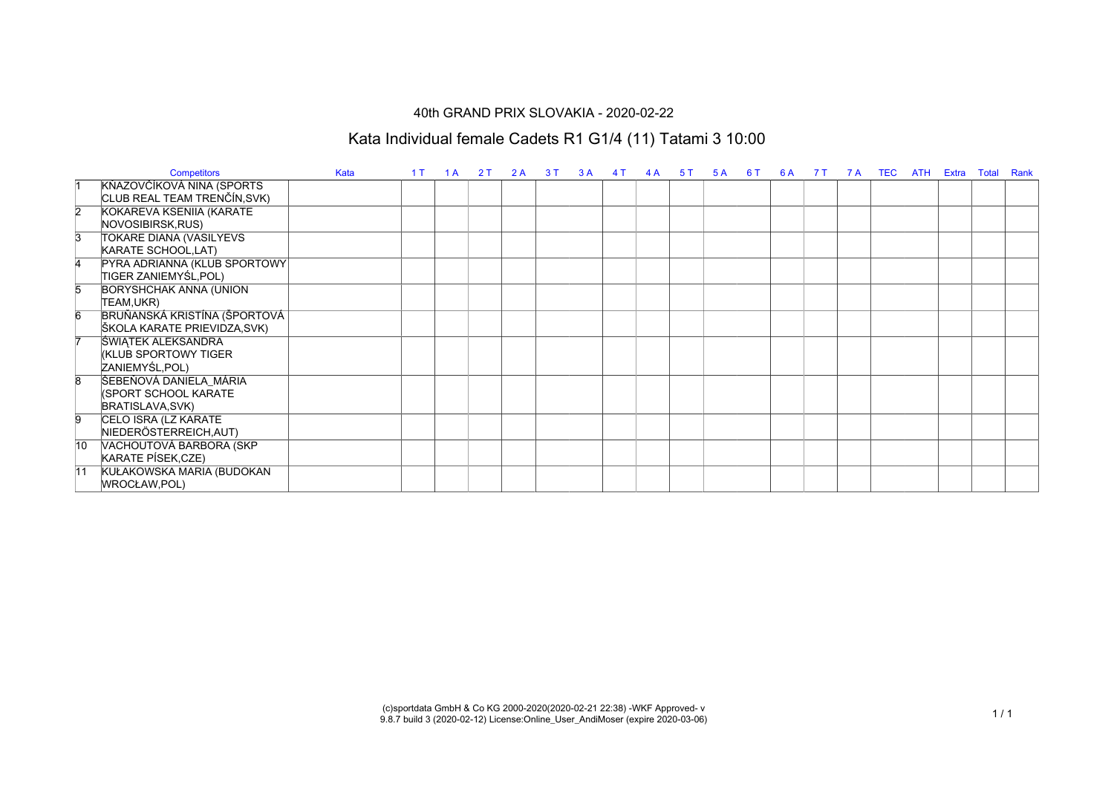# Kata Individual female Cadets R1 G1/4 (11) Tatami 3 10:00

|                 | Competitors                     | Kata | 1T | 1A | 2T | 2A | 3T | 3A | 4T | 4 A | 5T | <b>5A</b> | 6T | 6 A | 7T | <b>7 A</b> | <b>TEC</b> | ATH Extra Total Rank |  |
|-----------------|---------------------------------|------|----|----|----|----|----|----|----|-----|----|-----------|----|-----|----|------------|------------|----------------------|--|
|                 | KŇAZOVČÍKOVÁ NINA (SPORTS       |      |    |    |    |    |    |    |    |     |    |           |    |     |    |            |            |                      |  |
|                 | CLUB REAL TEAM TRENČÍN, SVK)    |      |    |    |    |    |    |    |    |     |    |           |    |     |    |            |            |                      |  |
| $\overline{2}$  | KOKAREVA KSENIIA (KARATE        |      |    |    |    |    |    |    |    |     |    |           |    |     |    |            |            |                      |  |
|                 | NOVOSIBIRSK, RUS)               |      |    |    |    |    |    |    |    |     |    |           |    |     |    |            |            |                      |  |
| 3               | <b>TOKARE DIANA (VASILYEVS)</b> |      |    |    |    |    |    |    |    |     |    |           |    |     |    |            |            |                      |  |
|                 | KARATE SCHOOL, LAT)             |      |    |    |    |    |    |    |    |     |    |           |    |     |    |            |            |                      |  |
|                 | PYRA ADRIANNA (KLUB SPORTOWY    |      |    |    |    |    |    |    |    |     |    |           |    |     |    |            |            |                      |  |
|                 | <b>TIGER ZANIEMYŚL,POL)</b>     |      |    |    |    |    |    |    |    |     |    |           |    |     |    |            |            |                      |  |
| 5               | <b>BORYSHCHAK ANNA (UNION</b>   |      |    |    |    |    |    |    |    |     |    |           |    |     |    |            |            |                      |  |
|                 | TEAM, UKR)                      |      |    |    |    |    |    |    |    |     |    |           |    |     |    |            |            |                      |  |
| $\overline{6}$  | BRUŇANSKÁ KRISTÍNA (ŠPORTOVÁ    |      |    |    |    |    |    |    |    |     |    |           |    |     |    |            |            |                      |  |
|                 | ŠKOLA KARATE PRIEVIDZA,SVK)     |      |    |    |    |    |    |    |    |     |    |           |    |     |    |            |            |                      |  |
|                 | <b>SWIATEK ALEKSANDRA</b>       |      |    |    |    |    |    |    |    |     |    |           |    |     |    |            |            |                      |  |
|                 | <b>KLUB SPORTOWY TIGER</b>      |      |    |    |    |    |    |    |    |     |    |           |    |     |    |            |            |                      |  |
|                 | ZANIEMYŚL.POL)                  |      |    |    |    |    |    |    |    |     |    |           |    |     |    |            |            |                      |  |
| $\mathsf{B}$    | ŠEBEŇOVÁ DANIELA MÁRIA          |      |    |    |    |    |    |    |    |     |    |           |    |     |    |            |            |                      |  |
|                 | <b>ISPORT SCHOOL KARATE</b>     |      |    |    |    |    |    |    |    |     |    |           |    |     |    |            |            |                      |  |
|                 | BRATISLAVA, SVK)                |      |    |    |    |    |    |    |    |     |    |           |    |     |    |            |            |                      |  |
| 9               | CELO ISRA (LZ KARATE            |      |    |    |    |    |    |    |    |     |    |           |    |     |    |            |            |                      |  |
|                 | NIEDERÖSTERREICH, AUT)          |      |    |    |    |    |    |    |    |     |    |           |    |     |    |            |            |                      |  |
| $\overline{10}$ | VACHOUTOVÁ BARBORA (SKP         |      |    |    |    |    |    |    |    |     |    |           |    |     |    |            |            |                      |  |
|                 | KARATE PÍSEK, CZE)              |      |    |    |    |    |    |    |    |     |    |           |    |     |    |            |            |                      |  |
| 11              | KUŁAKOWSKA MARIA (BUDOKAN       |      |    |    |    |    |    |    |    |     |    |           |    |     |    |            |            |                      |  |
|                 | <b>WROCŁAW, POL)</b>            |      |    |    |    |    |    |    |    |     |    |           |    |     |    |            |            |                      |  |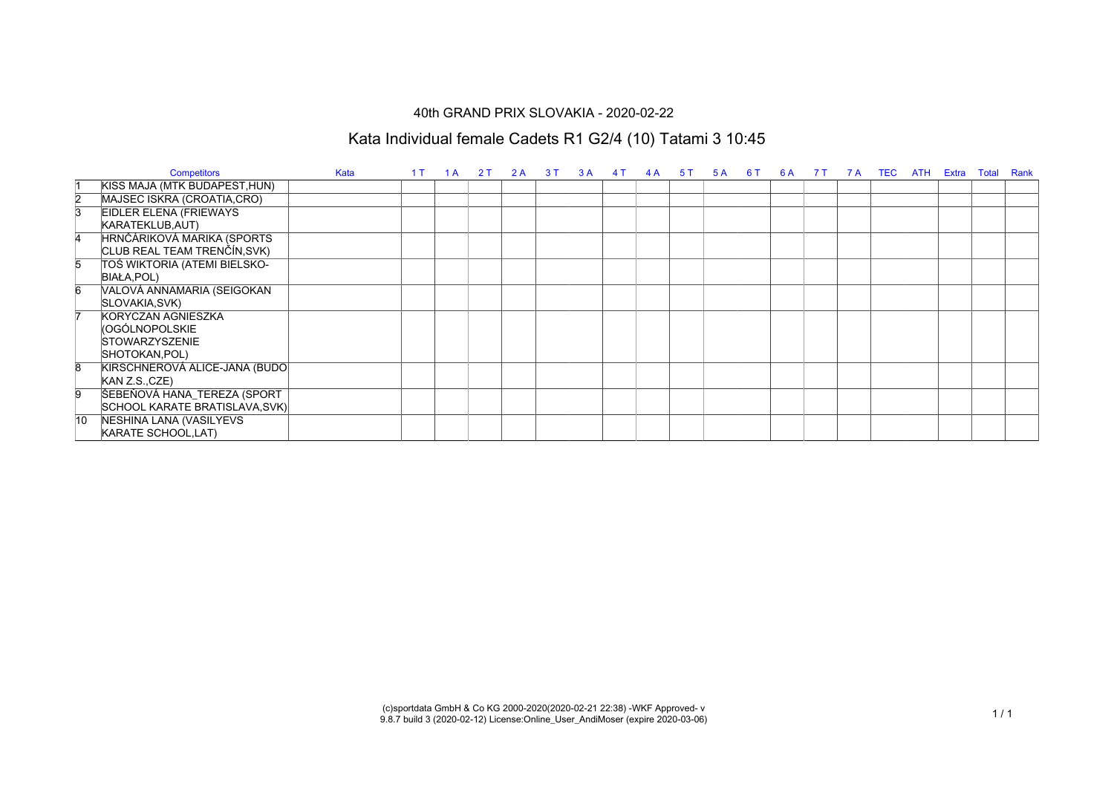# Kata Individual female Cadets R1 G2/4 (10) Tatami 3 10:45

|                  | <b>Competitors</b>             | Kata | 1T | 1A | 2T | 2A | 3T | 3A | 4T | 4 A | 5T | 5 A | 6 T | 6 A | 7 T | 7 A | <b>TEC</b> | ATH | Extra | Total | Rank |
|------------------|--------------------------------|------|----|----|----|----|----|----|----|-----|----|-----|-----|-----|-----|-----|------------|-----|-------|-------|------|
|                  | KISS MAJA (MTK BUDAPEST, HUN)  |      |    |    |    |    |    |    |    |     |    |     |     |     |     |     |            |     |       |       |      |
| 2                | MAJSEC ISKRA (CROATIA,CRO)     |      |    |    |    |    |    |    |    |     |    |     |     |     |     |     |            |     |       |       |      |
| 3                | <b>EIDLER ELENA (FRIEWAYS</b>  |      |    |    |    |    |    |    |    |     |    |     |     |     |     |     |            |     |       |       |      |
|                  | KARATEKLUB, AUT)               |      |    |    |    |    |    |    |    |     |    |     |     |     |     |     |            |     |       |       |      |
| 14               | HRNČÁRIKOVÁ MARIKA (SPORTS     |      |    |    |    |    |    |    |    |     |    |     |     |     |     |     |            |     |       |       |      |
|                  | CLUB REAL TEAM TRENČÍN, SVK)   |      |    |    |    |    |    |    |    |     |    |     |     |     |     |     |            |     |       |       |      |
|                  | TOŚ WIKTORIA (ATEMI BIELSKO-   |      |    |    |    |    |    |    |    |     |    |     |     |     |     |     |            |     |       |       |      |
|                  | BIAŁA, POL)                    |      |    |    |    |    |    |    |    |     |    |     |     |     |     |     |            |     |       |       |      |
| 6                | VALOVÁ ANNAMARIA (SEIGOKAN     |      |    |    |    |    |    |    |    |     |    |     |     |     |     |     |            |     |       |       |      |
|                  | SLOVAKIA, SVK)                 |      |    |    |    |    |    |    |    |     |    |     |     |     |     |     |            |     |       |       |      |
|                  | KORYCZAN AGNIESZKA             |      |    |    |    |    |    |    |    |     |    |     |     |     |     |     |            |     |       |       |      |
|                  | <b><i>IOGÓLNOPOLSKIE</i></b>   |      |    |    |    |    |    |    |    |     |    |     |     |     |     |     |            |     |       |       |      |
|                  | <b>STOWARZYSZENIE</b>          |      |    |    |    |    |    |    |    |     |    |     |     |     |     |     |            |     |       |       |      |
|                  | SHOTOKAN, POL)                 |      |    |    |    |    |    |    |    |     |    |     |     |     |     |     |            |     |       |       |      |
|                  | KIRSCHNEROVÁ ALICE-JANA (BUDO) |      |    |    |    |    |    |    |    |     |    |     |     |     |     |     |            |     |       |       |      |
|                  | KAN Z.S., CZE)                 |      |    |    |    |    |    |    |    |     |    |     |     |     |     |     |            |     |       |       |      |
| $\overline{9}$   | ŠEBEŇOVÁ HANA TEREZA (SPORT    |      |    |    |    |    |    |    |    |     |    |     |     |     |     |     |            |     |       |       |      |
|                  | SCHOOL KARATE BRATISLAVA, SVK) |      |    |    |    |    |    |    |    |     |    |     |     |     |     |     |            |     |       |       |      |
| 10 <sup>10</sup> | NESHINA LANA (VASILYEVS        |      |    |    |    |    |    |    |    |     |    |     |     |     |     |     |            |     |       |       |      |
|                  | KARATE SCHOOL, LAT)            |      |    |    |    |    |    |    |    |     |    |     |     |     |     |     |            |     |       |       |      |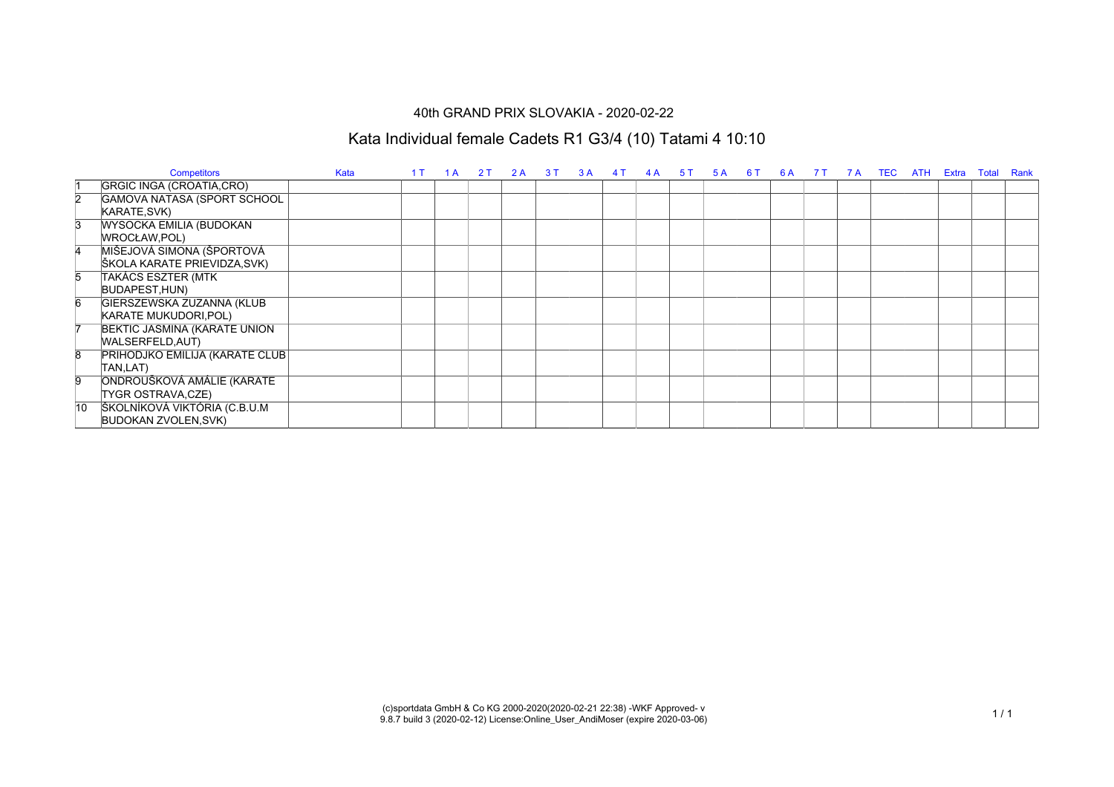# Kata Individual female Cadets R1 G3/4 (10) Tatami 4 10:10

|                  | <b>Competitors</b>                     | Kata | 1T | 1A | 2T | $2A$ $3T$ | $3A$ $4T$ | 4 A | 5T | 5A 6T | 6 A | 7T | 7 A | <b>TEC</b> | ATH Extra | Total Rank |  |
|------------------|----------------------------------------|------|----|----|----|-----------|-----------|-----|----|-------|-----|----|-----|------------|-----------|------------|--|
|                  | <b>GRGIC INGA (CROATIA,CRO)</b>        |      |    |    |    |           |           |     |    |       |     |    |     |            |           |            |  |
|                  | GAMOVA NATASA (SPORT SCHOOL            |      |    |    |    |           |           |     |    |       |     |    |     |            |           |            |  |
|                  | KARATE, SVK)                           |      |    |    |    |           |           |     |    |       |     |    |     |            |           |            |  |
| 13               | <b>WYSOCKA EMILIA (BUDOKAN</b>         |      |    |    |    |           |           |     |    |       |     |    |     |            |           |            |  |
|                  | <b>WROCŁAW, POL)</b>                   |      |    |    |    |           |           |     |    |       |     |    |     |            |           |            |  |
| 4                | MIŠEJOVÁ SIMONA (ŠPORTOVÁ              |      |    |    |    |           |           |     |    |       |     |    |     |            |           |            |  |
|                  | ŠKOLA KARATE PRIEVIDZA, SVK)           |      |    |    |    |           |           |     |    |       |     |    |     |            |           |            |  |
|                  | <b>TAKÁCS ESZTER (MTK)</b>             |      |    |    |    |           |           |     |    |       |     |    |     |            |           |            |  |
|                  | BUDAPEST, HUN)                         |      |    |    |    |           |           |     |    |       |     |    |     |            |           |            |  |
| 6                | GIERSZEWSKA ZUZANNA (KLUB              |      |    |    |    |           |           |     |    |       |     |    |     |            |           |            |  |
|                  | KARATE MUKUDORI, POL)                  |      |    |    |    |           |           |     |    |       |     |    |     |            |           |            |  |
|                  | <b>BEKTIC JASMINA (KARATE UNION</b>    |      |    |    |    |           |           |     |    |       |     |    |     |            |           |            |  |
|                  | WALSERFELD, AUT)                       |      |    |    |    |           |           |     |    |       |     |    |     |            |           |            |  |
| 18               | <b>PRIHODJKO EMILIJA (KARATE CLUB)</b> |      |    |    |    |           |           |     |    |       |     |    |     |            |           |            |  |
|                  | TAN,LAT)                               |      |    |    |    |           |           |     |    |       |     |    |     |            |           |            |  |
|                  | ONDROUŠKOVÁ AMÁLIE (KARATE             |      |    |    |    |           |           |     |    |       |     |    |     |            |           |            |  |
|                  | <b>TYGR OSTRAVA, CZE)</b>              |      |    |    |    |           |           |     |    |       |     |    |     |            |           |            |  |
| 10 <sup>10</sup> | ŠKOLNÍKOVÁ VIKTÓRIA (C.B.U.M           |      |    |    |    |           |           |     |    |       |     |    |     |            |           |            |  |
|                  | <b>BUDOKAN ZVOLEN, SVK)</b>            |      |    |    |    |           |           |     |    |       |     |    |     |            |           |            |  |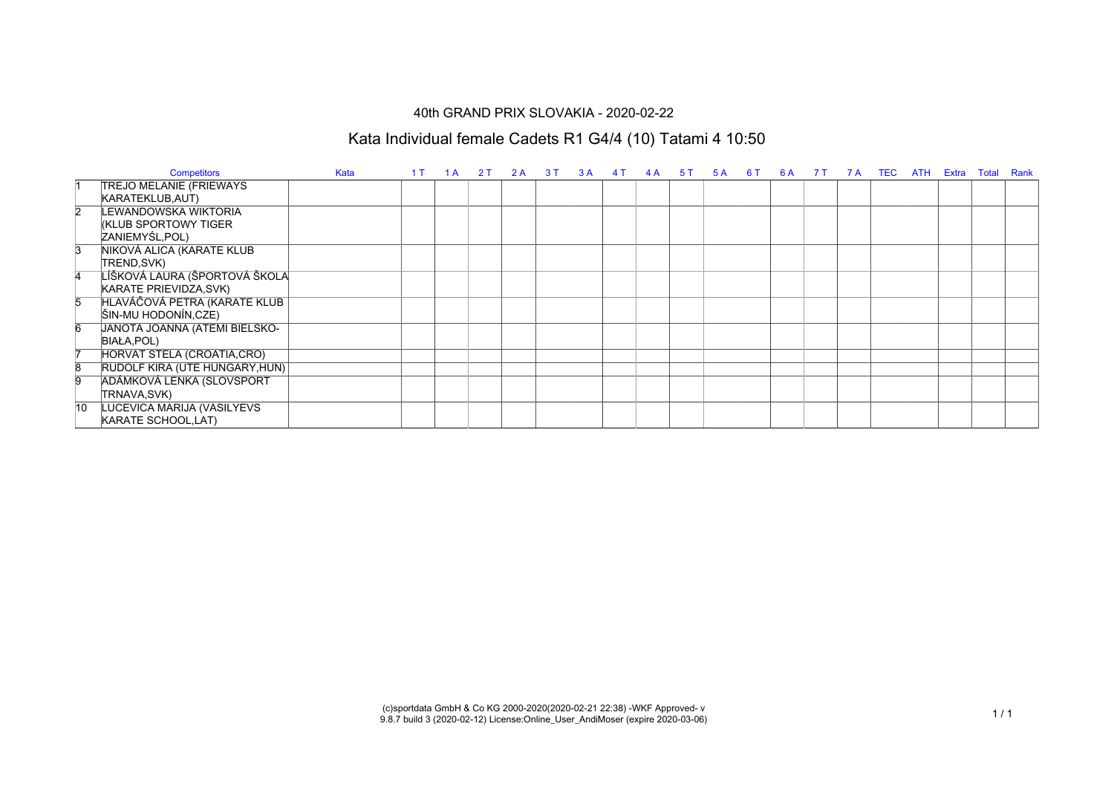# Kata Individual female Cadets R1 G4/4 (10) Tatami 4 10:50

|                  | <b>Competitors</b>             | Kata | 1T | 1A | 2T |  | 2A 3T 3A 4T 4A 5T |  |  | 5A 6T 6A 7T |  | <b>7 A</b> |  | TEC ATH Extra Total Rank |  |
|------------------|--------------------------------|------|----|----|----|--|-------------------|--|--|-------------|--|------------|--|--------------------------|--|
|                  | <b>TREJO MELANIE (FRIEWAYS</b> |      |    |    |    |  |                   |  |  |             |  |            |  |                          |  |
|                  | KARATEKLUB, AUT)               |      |    |    |    |  |                   |  |  |             |  |            |  |                          |  |
| $\mathsf{2}$     | LEWANDOWSKA WIKTORIA           |      |    |    |    |  |                   |  |  |             |  |            |  |                          |  |
|                  | <b>KLUB SPORTOWY TIGER</b>     |      |    |    |    |  |                   |  |  |             |  |            |  |                          |  |
|                  | ZANIEMYŚL, POL)                |      |    |    |    |  |                   |  |  |             |  |            |  |                          |  |
| 3                | NIKOVÁ ALICA (KARATE KLUB      |      |    |    |    |  |                   |  |  |             |  |            |  |                          |  |
|                  | TREND, SVK)                    |      |    |    |    |  |                   |  |  |             |  |            |  |                          |  |
| 4                | LÍŠKOVÁ LAURA (ŠPORTOVÁ ŠKOLA  |      |    |    |    |  |                   |  |  |             |  |            |  |                          |  |
|                  | KARATE PRIEVIDZA, SVK)         |      |    |    |    |  |                   |  |  |             |  |            |  |                          |  |
| 5                | HLAVÁČOVÁ PETRA (KARATE KLUB   |      |    |    |    |  |                   |  |  |             |  |            |  |                          |  |
|                  | ŠIN-MU HODONÍN, CZE)           |      |    |    |    |  |                   |  |  |             |  |            |  |                          |  |
| l6               | JANOTA JOANNA (ATEMI BIELSKO-  |      |    |    |    |  |                   |  |  |             |  |            |  |                          |  |
|                  | BIAŁA, POL)                    |      |    |    |    |  |                   |  |  |             |  |            |  |                          |  |
|                  | HORVAT STELA (CROATIA,CRO)     |      |    |    |    |  |                   |  |  |             |  |            |  |                          |  |
| 8                | RUDOLF KIRA (UTE HUNGARY, HUN) |      |    |    |    |  |                   |  |  |             |  |            |  |                          |  |
|                  | ADÁMKOVÁ LENKA (SLOVSPORT      |      |    |    |    |  |                   |  |  |             |  |            |  |                          |  |
|                  | TRNAVA, SVK)                   |      |    |    |    |  |                   |  |  |             |  |            |  |                          |  |
| 10 <sup>10</sup> | LUCEVICA MARIJA (VASILYEVS     |      |    |    |    |  |                   |  |  |             |  |            |  |                          |  |
|                  | KARATE SCHOOL, LAT)            |      |    |    |    |  |                   |  |  |             |  |            |  |                          |  |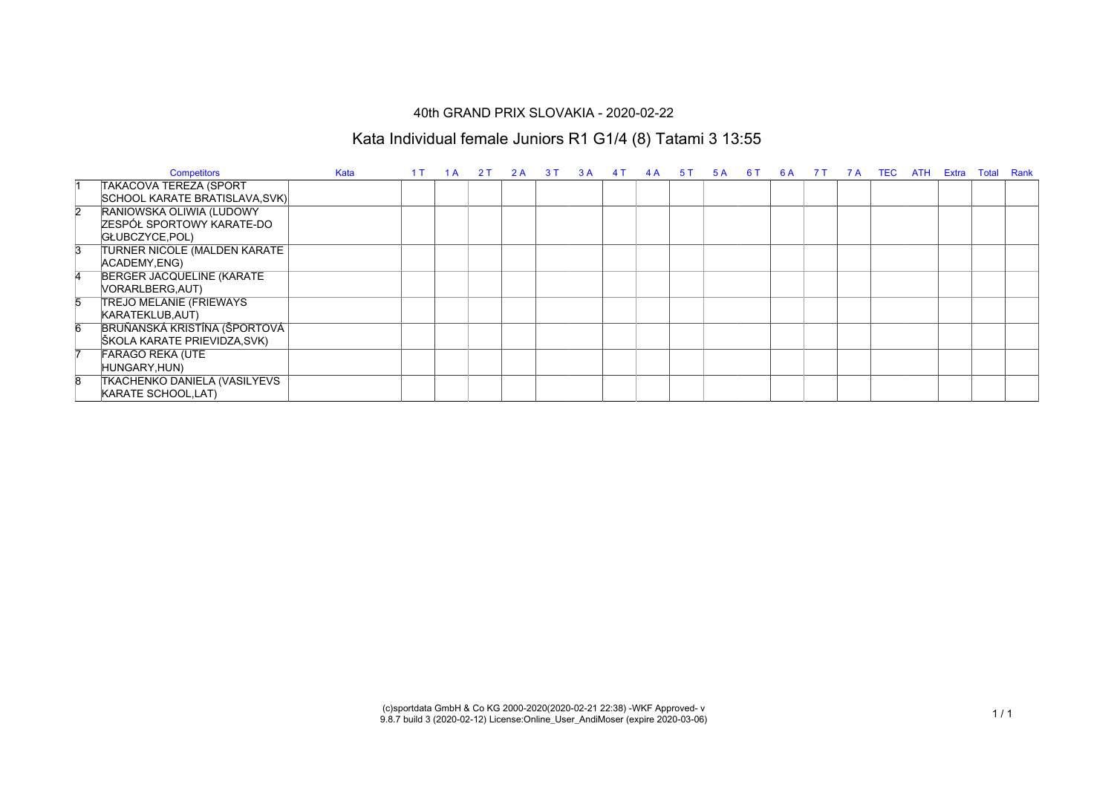# Kata Individual female Juniors R1 G1/4 (8) Tatami 3 13:55

|                | <b>Competitors</b>                  | Kata | 1T | 1A | 2T | $2A$ $3T$ | $3A$ 4 T | 4A 5T |  | 5A 6T | 6 A | 7T | <b>7 A</b> | <b>TEC</b> | ATH | Extra | Total Rank |  |
|----------------|-------------------------------------|------|----|----|----|-----------|----------|-------|--|-------|-----|----|------------|------------|-----|-------|------------|--|
| l1             | <b>TAKACOVA TEREZA (SPORT</b>       |      |    |    |    |           |          |       |  |       |     |    |            |            |     |       |            |  |
|                | SCHOOL KARATE BRATISLAVA, SVK)      |      |    |    |    |           |          |       |  |       |     |    |            |            |     |       |            |  |
| $\overline{2}$ | RANIOWSKA OLIWIA (LUDOWY            |      |    |    |    |           |          |       |  |       |     |    |            |            |     |       |            |  |
|                | ZESPÓŁ SPORTOWY KARATE-DO           |      |    |    |    |           |          |       |  |       |     |    |            |            |     |       |            |  |
|                | GŁUBCZYCE, POL)                     |      |    |    |    |           |          |       |  |       |     |    |            |            |     |       |            |  |
| $\overline{3}$ | TURNER NICOLE (MALDEN KARATE        |      |    |    |    |           |          |       |  |       |     |    |            |            |     |       |            |  |
|                | ACADEMY, ENG)                       |      |    |    |    |           |          |       |  |       |     |    |            |            |     |       |            |  |
| 4              | <b>BERGER JACQUELINE (KARATE</b>    |      |    |    |    |           |          |       |  |       |     |    |            |            |     |       |            |  |
|                | VORARLBERG, AUT)                    |      |    |    |    |           |          |       |  |       |     |    |            |            |     |       |            |  |
| 5              | <b>TREJO MELANIE (FRIEWAYS</b>      |      |    |    |    |           |          |       |  |       |     |    |            |            |     |       |            |  |
|                | KARATEKLUB, AUT)                    |      |    |    |    |           |          |       |  |       |     |    |            |            |     |       |            |  |
| 6              | BRUŇANSKÁ KRISTÍNA (ŠPORTOVÁ        |      |    |    |    |           |          |       |  |       |     |    |            |            |     |       |            |  |
|                | ŠKOLA KARATE PRIEVIDZA, SVK)        |      |    |    |    |           |          |       |  |       |     |    |            |            |     |       |            |  |
| 17             | <b>FARAGO REKA (UTE</b>             |      |    |    |    |           |          |       |  |       |     |    |            |            |     |       |            |  |
|                | HUNGARY, HUN)                       |      |    |    |    |           |          |       |  |       |     |    |            |            |     |       |            |  |
| 8              | <b>TKACHENKO DANIELA (VASILYEVS</b> |      |    |    |    |           |          |       |  |       |     |    |            |            |     |       |            |  |
|                | KARATE SCHOOL, LAT)                 |      |    |    |    |           |          |       |  |       |     |    |            |            |     |       |            |  |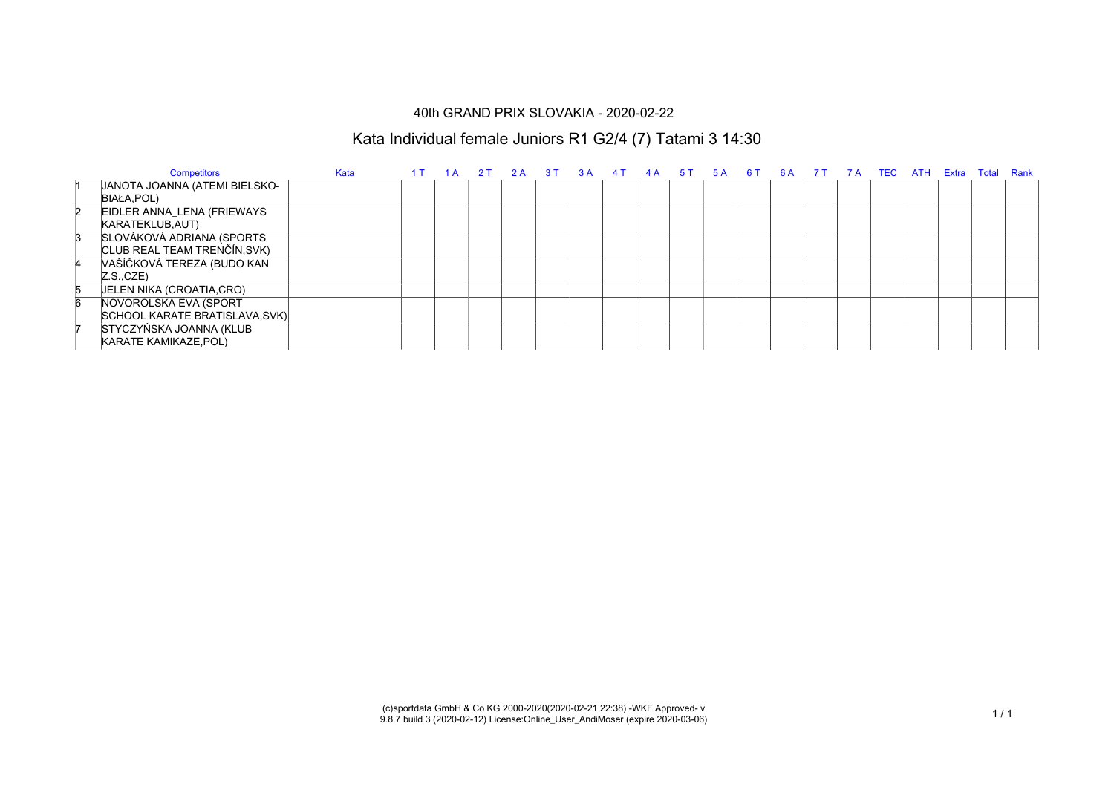# Kata Individual female Juniors R1 G2/4 (7) Tatami 3 14:30

|    | <b>Competitors</b>             | Kata | 1T 1A 2T 2A 3T 3A 4T 4A 5T 5A 6T 6A 7T 7A TEC ATH Extra Total Rank |  |  |  |  |  |  |  |  |  |
|----|--------------------------------|------|--------------------------------------------------------------------|--|--|--|--|--|--|--|--|--|
|    | JANOTA JOANNA (ATEMI BIELSKO-  |      |                                                                    |  |  |  |  |  |  |  |  |  |
|    | BIAŁA, POL)                    |      |                                                                    |  |  |  |  |  |  |  |  |  |
|    | EIDLER ANNA_LENA (FRIEWAYS     |      |                                                                    |  |  |  |  |  |  |  |  |  |
|    | KARATEKLUB, AUT)               |      |                                                                    |  |  |  |  |  |  |  |  |  |
|    | SLOVÁKOVÁ ADRIANA (SPORTS      |      |                                                                    |  |  |  |  |  |  |  |  |  |
|    | CLUB REAL TEAM TRENČÍN, SVK)   |      |                                                                    |  |  |  |  |  |  |  |  |  |
| 4  | VAŠÍČKOVÁ TEREZA (BUDO KAN     |      |                                                                    |  |  |  |  |  |  |  |  |  |
|    | Z.S., CZE                      |      |                                                                    |  |  |  |  |  |  |  |  |  |
| 15 | JELEN NIKA (CROATIA,CRO)       |      |                                                                    |  |  |  |  |  |  |  |  |  |
| k. | NOVOROLSKA EVA (SPORT          |      |                                                                    |  |  |  |  |  |  |  |  |  |
|    | SCHOOL KARATE BRATISLAVA, SVK) |      |                                                                    |  |  |  |  |  |  |  |  |  |
|    | STYCZYŃSKA JOANNA (KLUB        |      |                                                                    |  |  |  |  |  |  |  |  |  |
|    | KARATE KAMIKAZE, POL)          |      |                                                                    |  |  |  |  |  |  |  |  |  |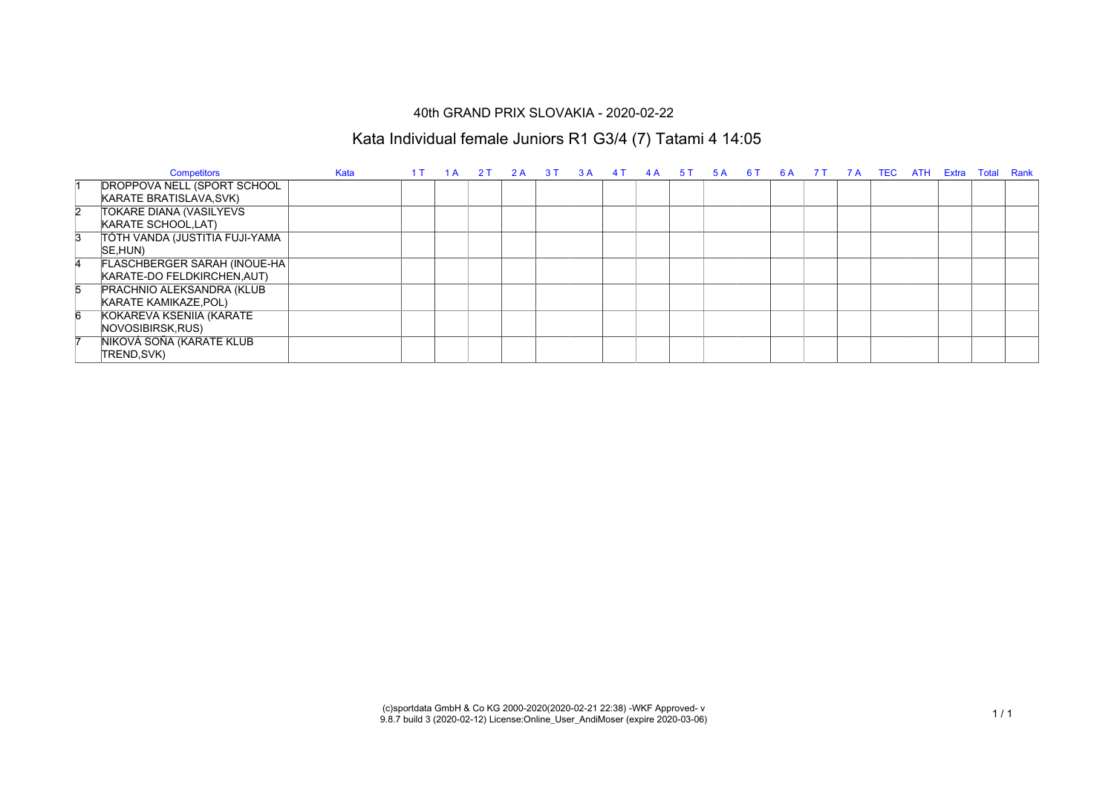# Kata Individual female Juniors R1 G3/4 (7) Tatami 4 14:05

|    | <b>Competitors</b>                   | Kata | 1A | 2T |  | 2A 3T 3A 4T |  | 4 A 5 T 5 A 6 T 6 A 7 T |  |  | 7 A | <b>TEC</b> | ATH Extra | Total | Rank |
|----|--------------------------------------|------|----|----|--|-------------|--|-------------------------|--|--|-----|------------|-----------|-------|------|
|    | <b>DROPPOVA NELL (SPORT SCHOOL</b>   |      |    |    |  |             |  |                         |  |  |     |            |           |       |      |
|    | KARATE BRATISLAVA, SVK)              |      |    |    |  |             |  |                         |  |  |     |            |           |       |      |
|    | <b>TOKARE DIANA (VASILYEVS</b>       |      |    |    |  |             |  |                         |  |  |     |            |           |       |      |
|    | KARATE SCHOOL, LAT)                  |      |    |    |  |             |  |                         |  |  |     |            |           |       |      |
| ß  | TÓTH VANDA (JUSTITIA FUJI-YAMA       |      |    |    |  |             |  |                         |  |  |     |            |           |       |      |
|    | SE, HUN)                             |      |    |    |  |             |  |                         |  |  |     |            |           |       |      |
|    | <b>FLASCHBERGER SARAH (INOUE-HA)</b> |      |    |    |  |             |  |                         |  |  |     |            |           |       |      |
|    | KARATE-DO FELDKIRCHEN, AUT)          |      |    |    |  |             |  |                         |  |  |     |            |           |       |      |
| 15 | PRACHNIO ALEKSANDRA (KLUB            |      |    |    |  |             |  |                         |  |  |     |            |           |       |      |
|    | KARATE KAMIKAZE, POL)                |      |    |    |  |             |  |                         |  |  |     |            |           |       |      |
| l6 | KOKAREVA KSENIIA (KARATE             |      |    |    |  |             |  |                         |  |  |     |            |           |       |      |
|    | NOVOSIBIRSK, RUS)                    |      |    |    |  |             |  |                         |  |  |     |            |           |       |      |
|    | NIKOVÁ SOŇA (KARATE KLUB             |      |    |    |  |             |  |                         |  |  |     |            |           |       |      |
|    | TREND, SVK)                          |      |    |    |  |             |  |                         |  |  |     |            |           |       |      |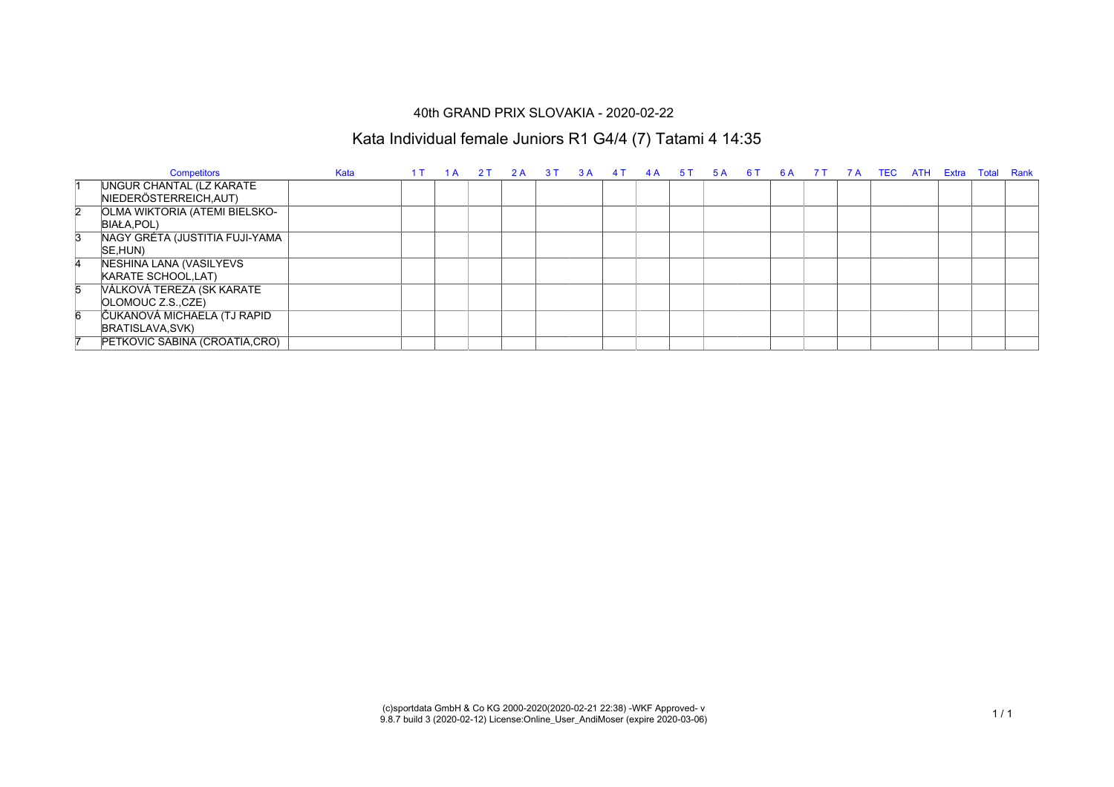# Kata Individual female Juniors R1 G4/4 (7) Tatami 4 14:35

|                | <b>Competitors</b>             | Kata | 1 A | $\sim$ 2T |  |  | 2A 3T 3A 4T 4A 5T 5A 6T 6A 7T 7A TEC ATH Extra Total Rank |  |  |  |  |  |
|----------------|--------------------------------|------|-----|-----------|--|--|-----------------------------------------------------------|--|--|--|--|--|
|                | UNGUR CHANTAL (LZ KARATE       |      |     |           |  |  |                                                           |  |  |  |  |  |
|                | NIEDERÖSTERREICH, AUT)         |      |     |           |  |  |                                                           |  |  |  |  |  |
| $\overline{2}$ | OLMA WIKTORIA (ATEMI BIELSKO-  |      |     |           |  |  |                                                           |  |  |  |  |  |
|                | BIAŁA, POL)                    |      |     |           |  |  |                                                           |  |  |  |  |  |
| $\mathbf{3}$   | NAGY GRÉTA (JUSTITIA FUJI-YAMA |      |     |           |  |  |                                                           |  |  |  |  |  |
|                | SE,HUN)                        |      |     |           |  |  |                                                           |  |  |  |  |  |
| <sup>4</sup>   | NESHINA LANA (VASILYEVS        |      |     |           |  |  |                                                           |  |  |  |  |  |
|                | KARATE SCHOOL, LAT)            |      |     |           |  |  |                                                           |  |  |  |  |  |
| 5              | VÁLKOVÁ TEREZA (SK KARATE      |      |     |           |  |  |                                                           |  |  |  |  |  |
|                | OLOMOUC Z.S., CZE)             |      |     |           |  |  |                                                           |  |  |  |  |  |
| $\overline{6}$ | ČUKANOVÁ MICHAELA (TJ RAPID    |      |     |           |  |  |                                                           |  |  |  |  |  |
|                | BRATISLAVA, SVK)               |      |     |           |  |  |                                                           |  |  |  |  |  |
|                | PETKOVIC SABINA (CROATIA,CRO)  |      |     |           |  |  |                                                           |  |  |  |  |  |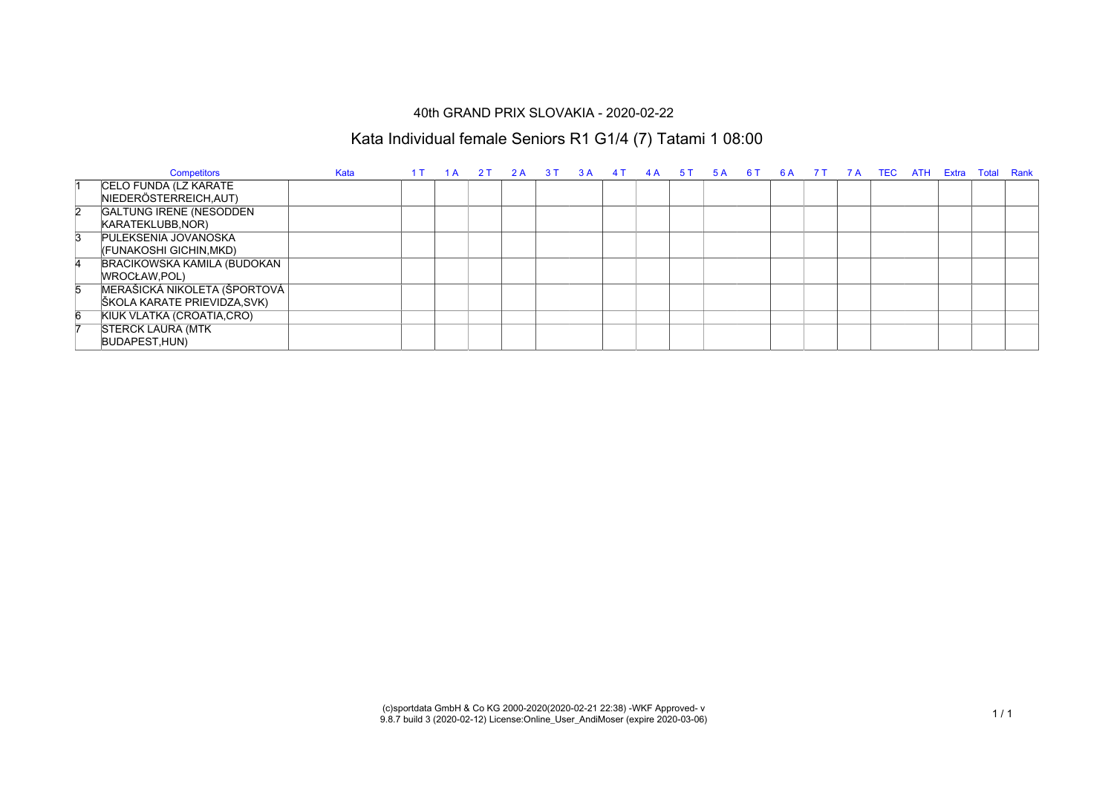# Kata Individual female Seniors R1 G1/4 (7) Tatami 1 08:00

|              | <b>Competitors</b>             | Kata | 1 A | 2T |  |  | 2A 3T 3A 4T 4A 5T 5A 6T 6A 7T |  |  | 7 A |  | TEC ATH Extra | Total | Rank |
|--------------|--------------------------------|------|-----|----|--|--|-------------------------------|--|--|-----|--|---------------|-------|------|
|              | CELO FUNDA (LZ KARATE          |      |     |    |  |  |                               |  |  |     |  |               |       |      |
|              | NIEDERÖSTERREICH, AUT)         |      |     |    |  |  |                               |  |  |     |  |               |       |      |
| $\mathbf{2}$ | <b>GALTUNG IRENE (NESODDEN</b> |      |     |    |  |  |                               |  |  |     |  |               |       |      |
|              | KARATEKLUBB, NOR)              |      |     |    |  |  |                               |  |  |     |  |               |       |      |
| $\mathbf{3}$ | PULEKSENIA JOVANOSKA           |      |     |    |  |  |                               |  |  |     |  |               |       |      |
|              | (FUNAKOSHI GICHIN, MKD)        |      |     |    |  |  |                               |  |  |     |  |               |       |      |
|              | BRACIKOWSKA KAMILA (BUDOKAN    |      |     |    |  |  |                               |  |  |     |  |               |       |      |
|              | WROCŁAW, POL)                  |      |     |    |  |  |                               |  |  |     |  |               |       |      |
| 5            | MERAŠICKÁ NIKOLETA (ŠPORTOVÁ   |      |     |    |  |  |                               |  |  |     |  |               |       |      |
|              | ŠKOLA KARATE PRIEVIDZA, SVK)   |      |     |    |  |  |                               |  |  |     |  |               |       |      |
| 6            | KIUK VLATKA (CROATIA,CRO)      |      |     |    |  |  |                               |  |  |     |  |               |       |      |
|              | <b>STERCK LAURA (MTK</b>       |      |     |    |  |  |                               |  |  |     |  |               |       |      |
|              | BUDAPEST, HUN)                 |      |     |    |  |  |                               |  |  |     |  |               |       |      |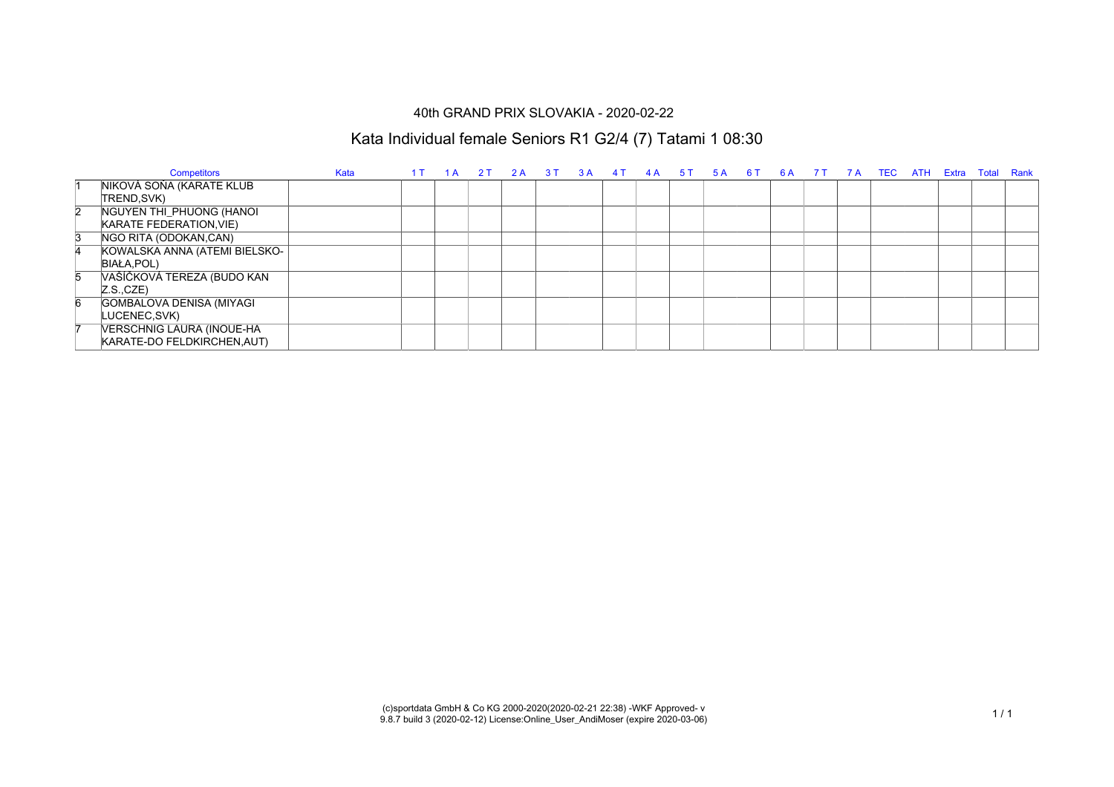# Kata Individual female Seniors R1 G2/4 (7) Tatami 1 08:30

|                | Competitors                   | Kata | 1 A | 2T |  | 2A 3T 3A 4T 4A 5T 5A 6T 6A 7T 7A |  |  |  |  |  | TEC ATH Extra Total Rank |  |
|----------------|-------------------------------|------|-----|----|--|----------------------------------|--|--|--|--|--|--------------------------|--|
|                | NIKOVÁ SOŇA (KARATE KLUB      |      |     |    |  |                                  |  |  |  |  |  |                          |  |
|                | TREND, SVK)                   |      |     |    |  |                                  |  |  |  |  |  |                          |  |
| $\overline{2}$ | NGUYEN THI_PHUONG (HANOI      |      |     |    |  |                                  |  |  |  |  |  |                          |  |
|                | KARATE FEDERATION, VIE)       |      |     |    |  |                                  |  |  |  |  |  |                          |  |
| 3              | NGO RITA (ODOKAN,CAN)         |      |     |    |  |                                  |  |  |  |  |  |                          |  |
|                | KOWALSKA ANNA (ATEMI BIELSKO- |      |     |    |  |                                  |  |  |  |  |  |                          |  |
|                | BIAŁA, POL)                   |      |     |    |  |                                  |  |  |  |  |  |                          |  |
|                | VAŠÍČKOVÁ TEREZA (BUDO KAN    |      |     |    |  |                                  |  |  |  |  |  |                          |  |
|                | Z.S., CZE                     |      |     |    |  |                                  |  |  |  |  |  |                          |  |
| $6^{\circ}$    | GOMBALOVA DENISA (MIYAGI      |      |     |    |  |                                  |  |  |  |  |  |                          |  |
|                | LUCENEC,SVK)                  |      |     |    |  |                                  |  |  |  |  |  |                          |  |
|                | VERSCHNIG LAURA (INOUE-HA     |      |     |    |  |                                  |  |  |  |  |  |                          |  |
|                | KARATE-DO FELDKIRCHEN, AUT)   |      |     |    |  |                                  |  |  |  |  |  |                          |  |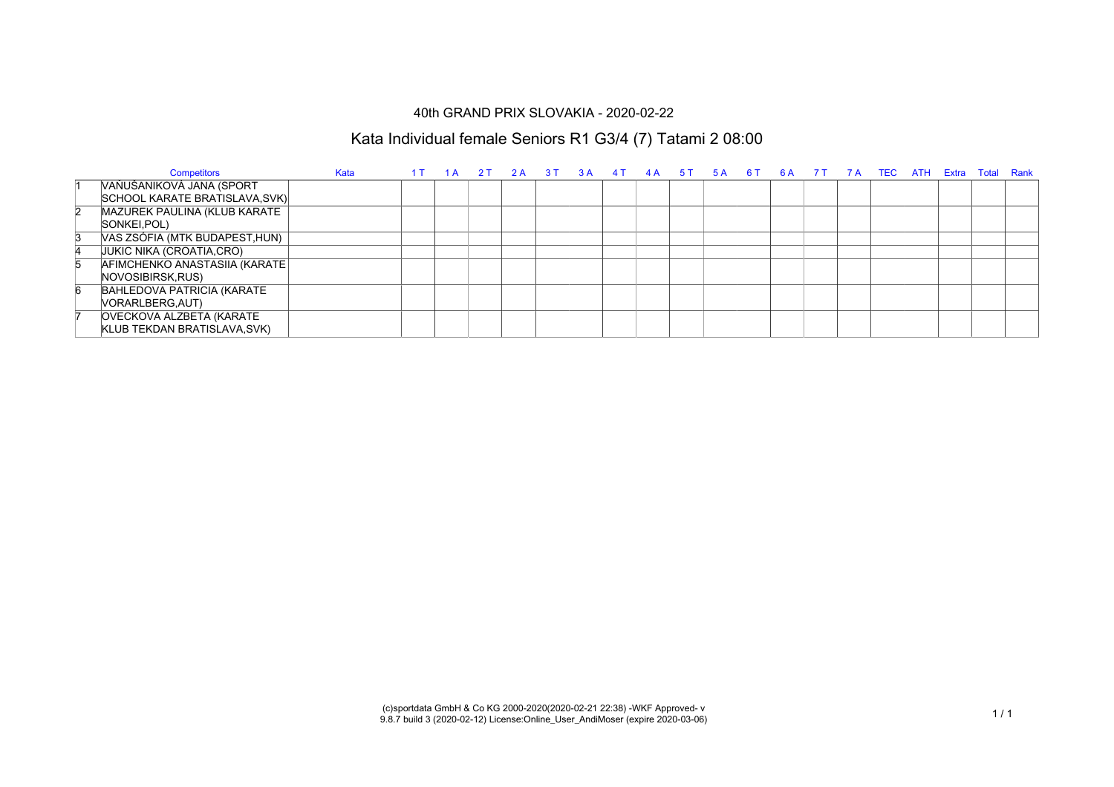# Kata Individual female Seniors R1 G3/4 (7) Tatami 2 08:00

|              | <b>Competitors</b>                | Kata | 1T | 1 A | 2T |  |  | 2A 3T 3A 4T 4A 5T 5A 6T 6A 7T 7A TEC ATH Extra Total Rank |  |  |  |  |  |
|--------------|-----------------------------------|------|----|-----|----|--|--|-----------------------------------------------------------|--|--|--|--|--|
| 11           | VAŇUŠANIKOVÁ JANA (SPORT          |      |    |     |    |  |  |                                                           |  |  |  |  |  |
|              | SCHOOL KARATE BRATISLAVA, SVK)    |      |    |     |    |  |  |                                                           |  |  |  |  |  |
| $\mathbf{2}$ | MAZUREK PAULINA (KLUB KARATE      |      |    |     |    |  |  |                                                           |  |  |  |  |  |
|              | SONKEI, POL)                      |      |    |     |    |  |  |                                                           |  |  |  |  |  |
| 3            | VAS ZSÓFIA (MTK BUDAPEST, HUN)    |      |    |     |    |  |  |                                                           |  |  |  |  |  |
| 4            | <b>JUKIC NIKA (CROATIA,CRO)</b>   |      |    |     |    |  |  |                                                           |  |  |  |  |  |
| 5            | AFIMCHENKO ANASTASIIA (KARATE)    |      |    |     |    |  |  |                                                           |  |  |  |  |  |
|              | NOVOSIBIRSK, RUS)                 |      |    |     |    |  |  |                                                           |  |  |  |  |  |
| 6            | <b>BAHLEDOVA PATRICIA (KARATE</b> |      |    |     |    |  |  |                                                           |  |  |  |  |  |
|              | VORARLBERG, AUT)                  |      |    |     |    |  |  |                                                           |  |  |  |  |  |
|              | <b>OVECKOVA ALZBETA (KARATE</b>   |      |    |     |    |  |  |                                                           |  |  |  |  |  |
|              | KLUB TEKDAN BRATISLAVA, SVK)      |      |    |     |    |  |  |                                                           |  |  |  |  |  |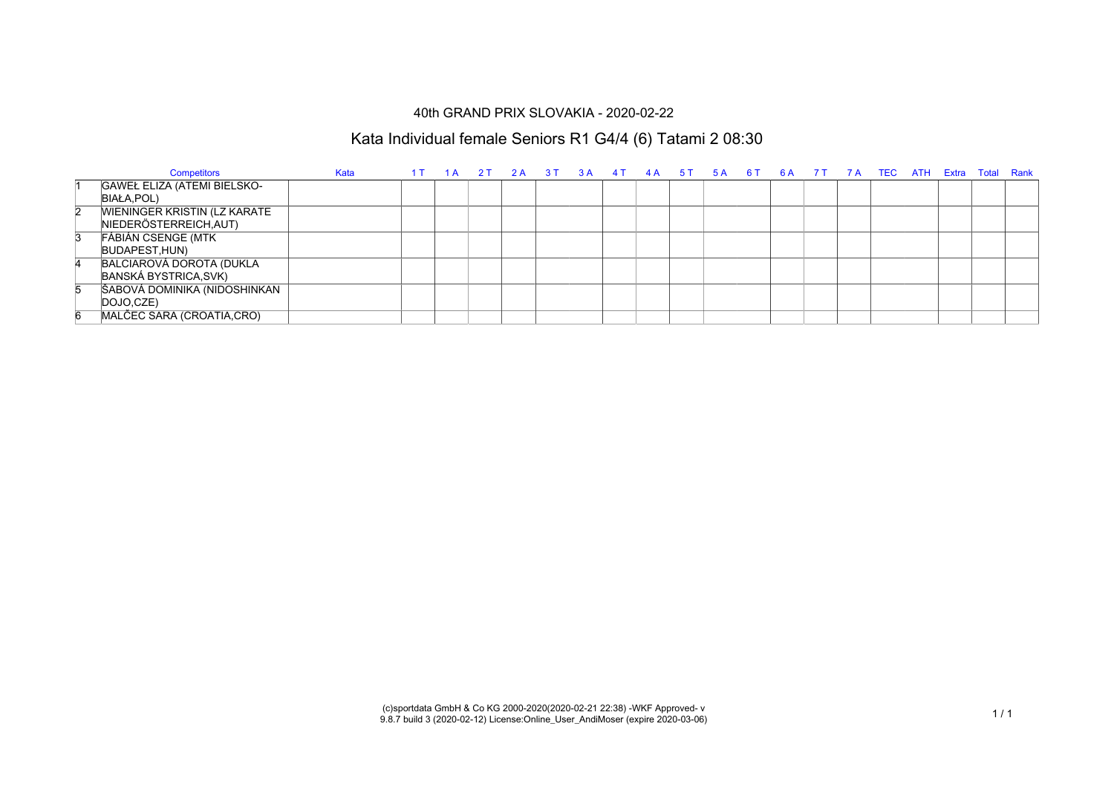# Kata Individual female Seniors R1 G4/4 (6) Tatami 2 08:30

|              | <b>Competitors</b>                  | Kata | 1 A |  |  |  | 2A 3T 3A 4T 4A 5T 5A 6T 6A 7T 7A TEC ATH Extra Total |  |  |  |  | Rank |
|--------------|-------------------------------------|------|-----|--|--|--|------------------------------------------------------|--|--|--|--|------|
|              | <b>GAWEŁ ELIZA (ATEMI BIELSKO-</b>  |      |     |  |  |  |                                                      |  |  |  |  |      |
|              | BIAŁA, POL)                         |      |     |  |  |  |                                                      |  |  |  |  |      |
| $\mathsf{2}$ | <b>WIENINGER KRISTIN (LZ KARATE</b> |      |     |  |  |  |                                                      |  |  |  |  |      |
|              | NIEDERÖSTERREICH, AUT)              |      |     |  |  |  |                                                      |  |  |  |  |      |
| k.           | <b>FÁBIÁN CSENGE (MTK</b>           |      |     |  |  |  |                                                      |  |  |  |  |      |
|              | BUDAPEST, HUN)                      |      |     |  |  |  |                                                      |  |  |  |  |      |
| 4            | BALCIAROVÁ DOROTA (DUKLA            |      |     |  |  |  |                                                      |  |  |  |  |      |
|              | BANSKÁ BYSTRICA, SVK)               |      |     |  |  |  |                                                      |  |  |  |  |      |
| 5            | ŠABOVÁ DOMINIKA (NIDOSHINKAN        |      |     |  |  |  |                                                      |  |  |  |  |      |
|              | DOJO,CZE)                           |      |     |  |  |  |                                                      |  |  |  |  |      |
|              | MALČEC SARA (CROATIA,CRO)           |      |     |  |  |  |                                                      |  |  |  |  |      |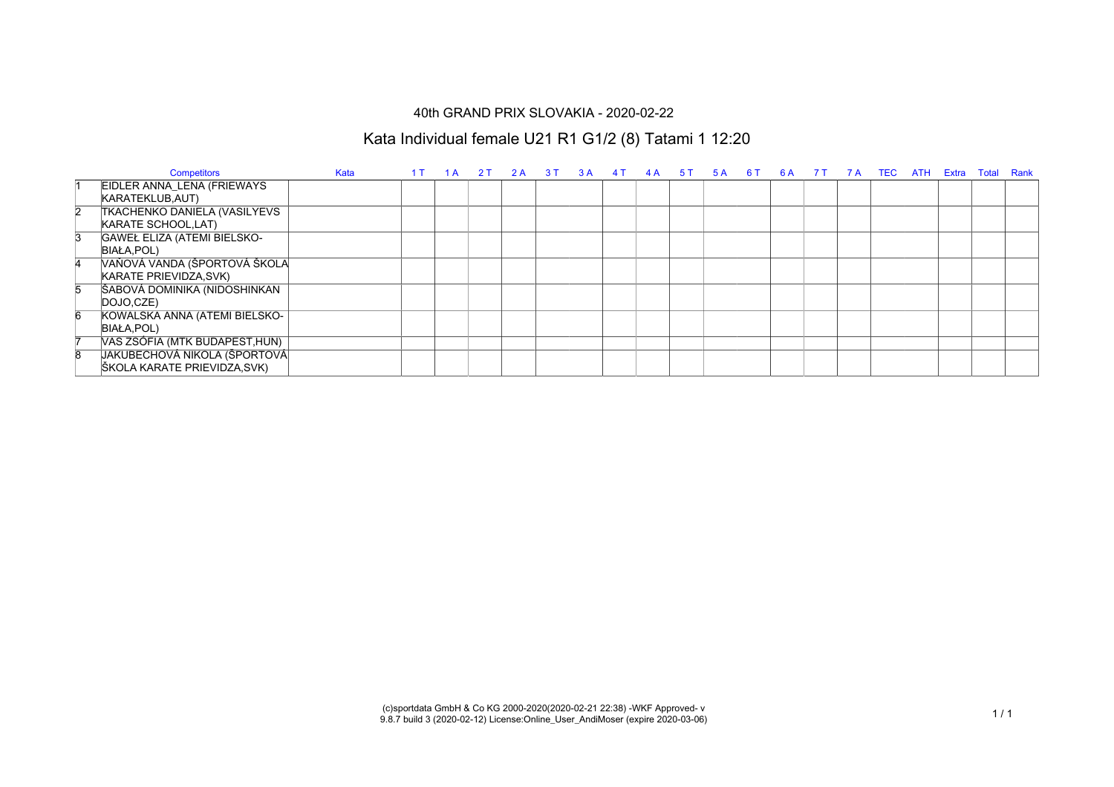# Kata Individual female U21 R1 G1/2 (8) Tatami 1 12:20

|                  | <b>Competitors</b>                 | Kata | 1 A | 2 A | 3T | 3 A | 4T | 4A 5T | <b>5A</b> | 6 T | 6 A | 7T | 7 A | TEC | ATH Extra | Total | Rank |
|------------------|------------------------------------|------|-----|-----|----|-----|----|-------|-----------|-----|-----|----|-----|-----|-----------|-------|------|
|                  | EIDLER ANNA_LENA (FRIEWAYS         |      |     |     |    |     |    |       |           |     |     |    |     |     |           |       |      |
| KARATEKLUB, AUT) |                                    |      |     |     |    |     |    |       |           |     |     |    |     |     |           |       |      |
| 2                | TKACHENKO DANIELA (VASILYEVS       |      |     |     |    |     |    |       |           |     |     |    |     |     |           |       |      |
|                  | KARATE SCHOOL, LAT)                |      |     |     |    |     |    |       |           |     |     |    |     |     |           |       |      |
|                  | <b>GAWEŁ ELIZA (ATEMI BIELSKO-</b> |      |     |     |    |     |    |       |           |     |     |    |     |     |           |       |      |
| BIAŁA, POL)      |                                    |      |     |     |    |     |    |       |           |     |     |    |     |     |           |       |      |
| 4                | VAŇOVÁ VANDA (ŠPORTOVÁ ŠKOLA       |      |     |     |    |     |    |       |           |     |     |    |     |     |           |       |      |
|                  | KARATE PRIEVIDZA, SVK)             |      |     |     |    |     |    |       |           |     |     |    |     |     |           |       |      |
| 5                | ŠABOVÁ DOMINIKA (NIDOSHINKAN       |      |     |     |    |     |    |       |           |     |     |    |     |     |           |       |      |
| DOJO,CZE)        |                                    |      |     |     |    |     |    |       |           |     |     |    |     |     |           |       |      |
| $6\overline{6}$  | KOWALSKA ANNA (ATEMI BIELSKO-      |      |     |     |    |     |    |       |           |     |     |    |     |     |           |       |      |
| BIAŁA, POL)      |                                    |      |     |     |    |     |    |       |           |     |     |    |     |     |           |       |      |
| 17               | VAS ZSÓFIA (MTK BUDAPEST, HUN)     |      |     |     |    |     |    |       |           |     |     |    |     |     |           |       |      |
|                  | JAKUBECHOVÁ NIKOLA (ŠPORTOVÁ       |      |     |     |    |     |    |       |           |     |     |    |     |     |           |       |      |
|                  | ŠKOLA KARATE PRIEVIDZA, SVK)       |      |     |     |    |     |    |       |           |     |     |    |     |     |           |       |      |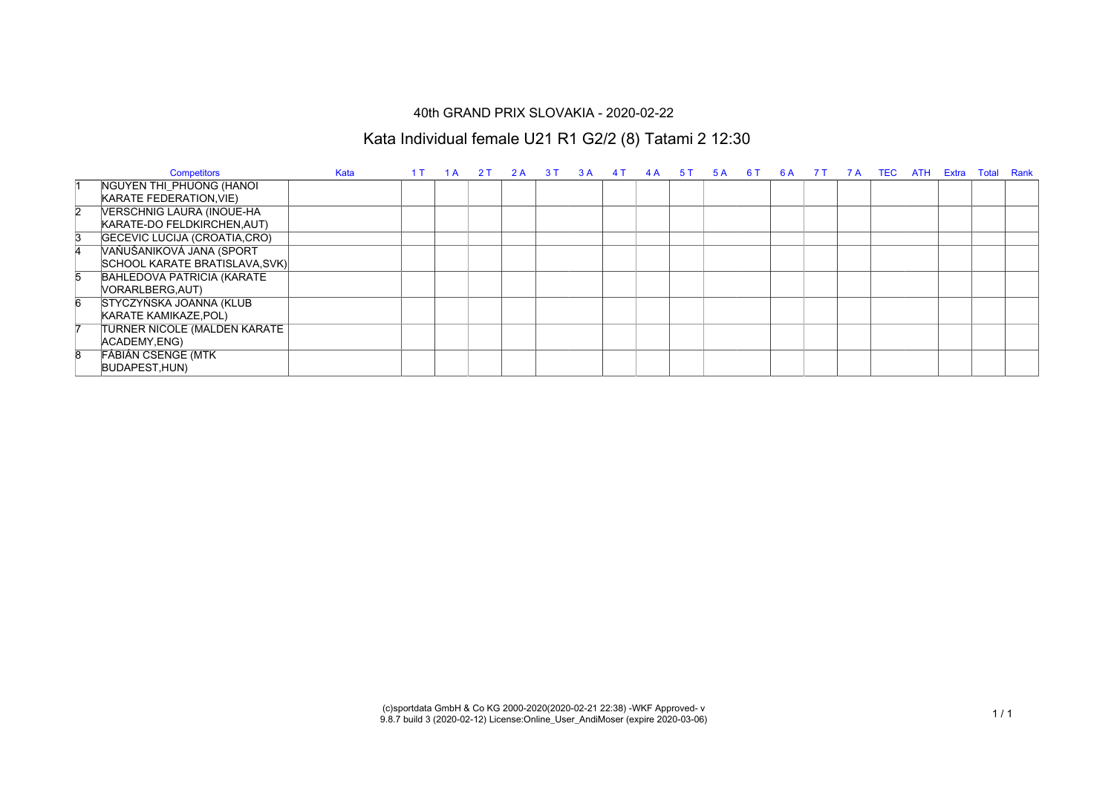# Kata Individual female U21 R1 G2/2 (8) Tatami 2 12:30

|              | <b>Competitors</b>                  | Kata |  | 2T | 2A | 3T | 3 A | 4 T | 4 A | 5T | 5 A | 6 T | 6 A | 7T | 7 A | TEC | ATH Extra | Total | Rank |
|--------------|-------------------------------------|------|--|----|----|----|-----|-----|-----|----|-----|-----|-----|----|-----|-----|-----------|-------|------|
|              | NGUYEN THI_PHUONG (HANOI            |      |  |    |    |    |     |     |     |    |     |     |     |    |     |     |           |       |      |
|              | KARATE FEDERATION, VIE)             |      |  |    |    |    |     |     |     |    |     |     |     |    |     |     |           |       |      |
| $\mathbf{2}$ | <b>VERSCHNIG LAURA (INOUE-HA</b>    |      |  |    |    |    |     |     |     |    |     |     |     |    |     |     |           |       |      |
|              | KARATE-DO FELDKIRCHEN, AUT)         |      |  |    |    |    |     |     |     |    |     |     |     |    |     |     |           |       |      |
| 3            | <b>GECEVIC LUCIJA (CROATIA,CRO)</b> |      |  |    |    |    |     |     |     |    |     |     |     |    |     |     |           |       |      |
| 4            | VAŇUŠANIKOVÁ JANA (SPORT            |      |  |    |    |    |     |     |     |    |     |     |     |    |     |     |           |       |      |
|              | SCHOOL KARATE BRATISLAVA, SVK)      |      |  |    |    |    |     |     |     |    |     |     |     |    |     |     |           |       |      |
| 5            | <b>BAHLEDOVA PATRICIA (KARATE</b>   |      |  |    |    |    |     |     |     |    |     |     |     |    |     |     |           |       |      |
|              | VORARLBERG, AUT)                    |      |  |    |    |    |     |     |     |    |     |     |     |    |     |     |           |       |      |
| $\sqrt{6}$   | STYCZYŃSKA JOANNA (KLUB             |      |  |    |    |    |     |     |     |    |     |     |     |    |     |     |           |       |      |
|              | KARATE KAMIKAZE, POL)               |      |  |    |    |    |     |     |     |    |     |     |     |    |     |     |           |       |      |
|              | TURNER NICOLE (MALDEN KARATE        |      |  |    |    |    |     |     |     |    |     |     |     |    |     |     |           |       |      |
|              | ACADEMY, ENG)                       |      |  |    |    |    |     |     |     |    |     |     |     |    |     |     |           |       |      |
| $\mathsf{B}$ | <b>FÁBIÁN CSENGE (MTK</b>           |      |  |    |    |    |     |     |     |    |     |     |     |    |     |     |           |       |      |
|              | BUDAPEST, HUN)                      |      |  |    |    |    |     |     |     |    |     |     |     |    |     |     |           |       |      |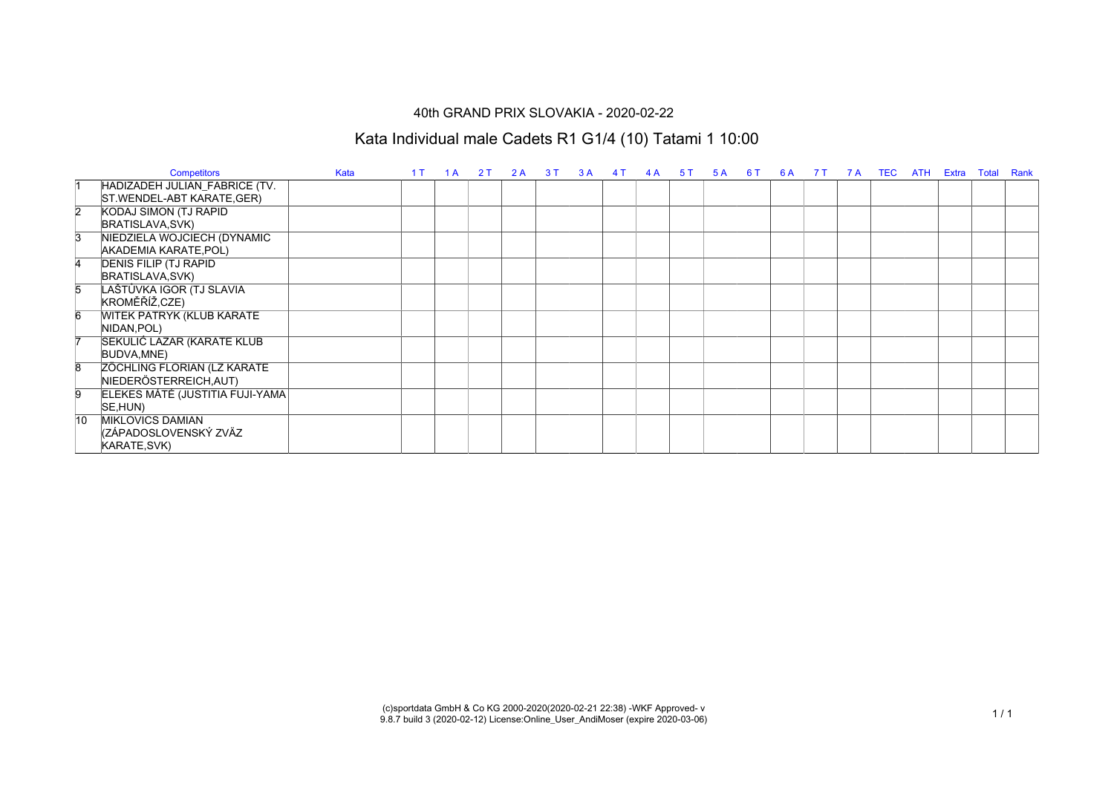# Kata Individual male Cadets R1 G1/4 (10) Tatami 1 10:00

|                  | <b>Competitors</b>                | Kata | 1T | 1A | 2T |  | 2A 3T 3A 4T 4A 5T |  |  | 5A 6T | 6A 7T | 7 A | <b>TEC</b> | ATH Extra Total Rank |  |
|------------------|-----------------------------------|------|----|----|----|--|-------------------|--|--|-------|-------|-----|------------|----------------------|--|
|                  | HADIZADEH JULIAN_FABRICE (TV.     |      |    |    |    |  |                   |  |  |       |       |     |            |                      |  |
|                  | ST.WENDEL-ABT KARATE, GER)        |      |    |    |    |  |                   |  |  |       |       |     |            |                      |  |
| $\mathbf{2}$     | KODAJ SIMON (TJ RAPID             |      |    |    |    |  |                   |  |  |       |       |     |            |                      |  |
|                  | BRATISLAVA, SVK)                  |      |    |    |    |  |                   |  |  |       |       |     |            |                      |  |
| lЗ               | NIEDZIELA WOJCIECH (DYNAMIC       |      |    |    |    |  |                   |  |  |       |       |     |            |                      |  |
|                  | AKADEMIA KARATE, POL)             |      |    |    |    |  |                   |  |  |       |       |     |            |                      |  |
| 14               | <b>DENIS FILIP (TJ RAPID</b>      |      |    |    |    |  |                   |  |  |       |       |     |            |                      |  |
|                  | BRATISLAVA, SVK)                  |      |    |    |    |  |                   |  |  |       |       |     |            |                      |  |
| 5                | LAŠTŮVKA IGOR (TJ SLAVIA          |      |    |    |    |  |                   |  |  |       |       |     |            |                      |  |
|                  | KROMĚŘÍŽ,CZE)                     |      |    |    |    |  |                   |  |  |       |       |     |            |                      |  |
| 6                | <b>WITEK PATRYK (KLUB KARATE)</b> |      |    |    |    |  |                   |  |  |       |       |     |            |                      |  |
|                  | NIDAN, POL)                       |      |    |    |    |  |                   |  |  |       |       |     |            |                      |  |
|                  | SEKULIĆ LAZAR (KARATE KLUB        |      |    |    |    |  |                   |  |  |       |       |     |            |                      |  |
|                  | BUDVA, MNE)                       |      |    |    |    |  |                   |  |  |       |       |     |            |                      |  |
| R.               | ZÖCHLING FLORIAN (LZ KARATE       |      |    |    |    |  |                   |  |  |       |       |     |            |                      |  |
|                  | NIEDERÖSTERREICH, AUT)            |      |    |    |    |  |                   |  |  |       |       |     |            |                      |  |
|                  | ELEKES MÁTÉ (JUSTITIA FUJI-YAMA   |      |    |    |    |  |                   |  |  |       |       |     |            |                      |  |
|                  | SE, HUN)                          |      |    |    |    |  |                   |  |  |       |       |     |            |                      |  |
| 10 <sup>10</sup> | <b>MIKLOVICS DAMIAN</b>           |      |    |    |    |  |                   |  |  |       |       |     |            |                      |  |
|                  | (ZÁPADOSLOVENSKÝ ZVÄZ             |      |    |    |    |  |                   |  |  |       |       |     |            |                      |  |
|                  | KARATE, SVK)                      |      |    |    |    |  |                   |  |  |       |       |     |            |                      |  |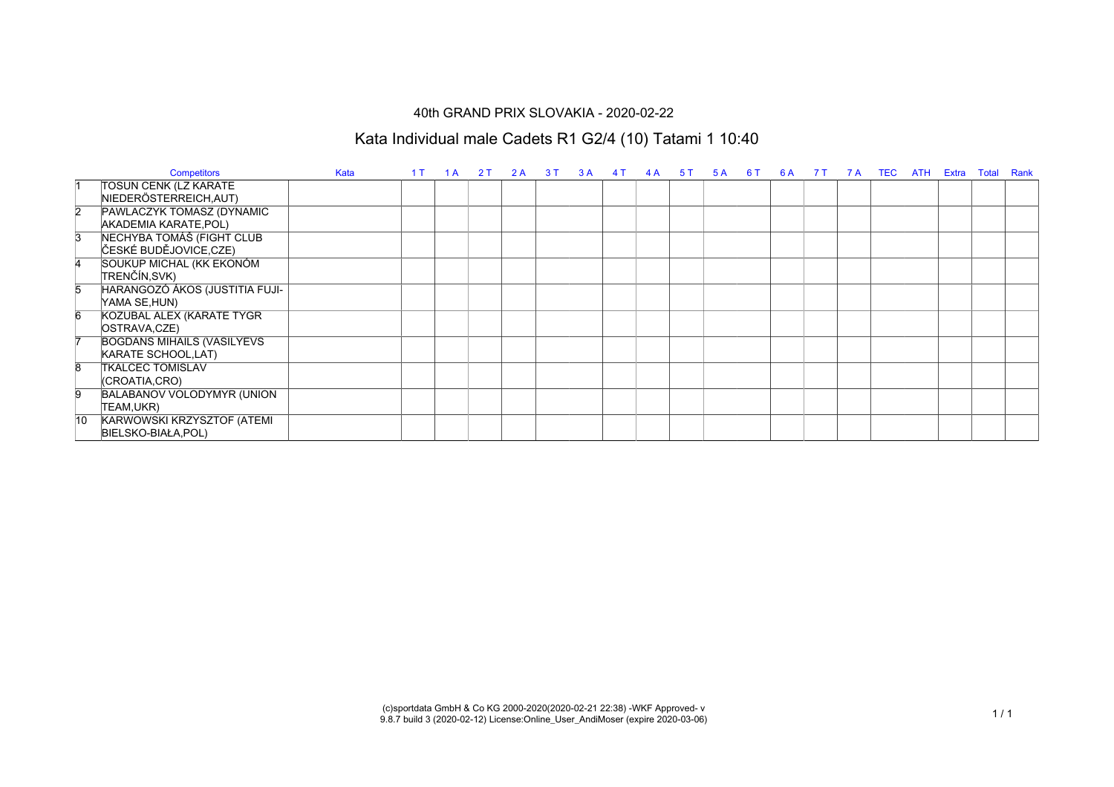# Kata Individual male Cadets R1 G2/4 (10) Tatami 1 10:40

|                  | <b>Competitors</b>                | Kata | 1T | 1A | 2T |  | 2A 3T 3A 4T 4A 5T |  |  | 5A 6T 6A 7T 7A TEC ATH Extra Total Rank |  |  |  |  |
|------------------|-----------------------------------|------|----|----|----|--|-------------------|--|--|-----------------------------------------|--|--|--|--|
|                  | <b>TOSUN CENK (LZ KARATE</b>      |      |    |    |    |  |                   |  |  |                                         |  |  |  |  |
|                  | NIEDERÖSTERREICH, AUT)            |      |    |    |    |  |                   |  |  |                                         |  |  |  |  |
| $\mathsf{2}$     | PAWLACZYK TOMASZ (DYNAMIC         |      |    |    |    |  |                   |  |  |                                         |  |  |  |  |
|                  | AKADEMIA KARATE, POL)             |      |    |    |    |  |                   |  |  |                                         |  |  |  |  |
|                  | NECHYBA TOMÁŠ (FIGHT CLUB         |      |    |    |    |  |                   |  |  |                                         |  |  |  |  |
|                  | ČESKÉ BUDĚJOVICE, CZE)            |      |    |    |    |  |                   |  |  |                                         |  |  |  |  |
|                  | SOUKUP MICHAL (KK EKONÓM          |      |    |    |    |  |                   |  |  |                                         |  |  |  |  |
|                  | TRENČÍN, SVK)                     |      |    |    |    |  |                   |  |  |                                         |  |  |  |  |
|                  | HARANGOZÓ ÁKOS (JUSTITIA FUJI-    |      |    |    |    |  |                   |  |  |                                         |  |  |  |  |
|                  | YAMA SE, HUN)                     |      |    |    |    |  |                   |  |  |                                         |  |  |  |  |
| 6                | KOZUBAL ALEX (KARATE TYGR         |      |    |    |    |  |                   |  |  |                                         |  |  |  |  |
|                  | OSTRAVA, CZE)                     |      |    |    |    |  |                   |  |  |                                         |  |  |  |  |
|                  | <b>BOGDANS MIHAILS (VASILYEVS</b> |      |    |    |    |  |                   |  |  |                                         |  |  |  |  |
|                  | KARATE SCHOOL, LAT)               |      |    |    |    |  |                   |  |  |                                         |  |  |  |  |
|                  | <b>TKALCEC TOMISLAV</b>           |      |    |    |    |  |                   |  |  |                                         |  |  |  |  |
|                  | (CROATIA,CRO)                     |      |    |    |    |  |                   |  |  |                                         |  |  |  |  |
|                  | BALABANOV VOLODYMYR (UNION        |      |    |    |    |  |                   |  |  |                                         |  |  |  |  |
|                  | TEAM, UKR)                        |      |    |    |    |  |                   |  |  |                                         |  |  |  |  |
| 10 <sup>10</sup> | KARWOWSKI KRZYSZTOF (ATEMI        |      |    |    |    |  |                   |  |  |                                         |  |  |  |  |
|                  | BIELSKO-BIAŁA, POL)               |      |    |    |    |  |                   |  |  |                                         |  |  |  |  |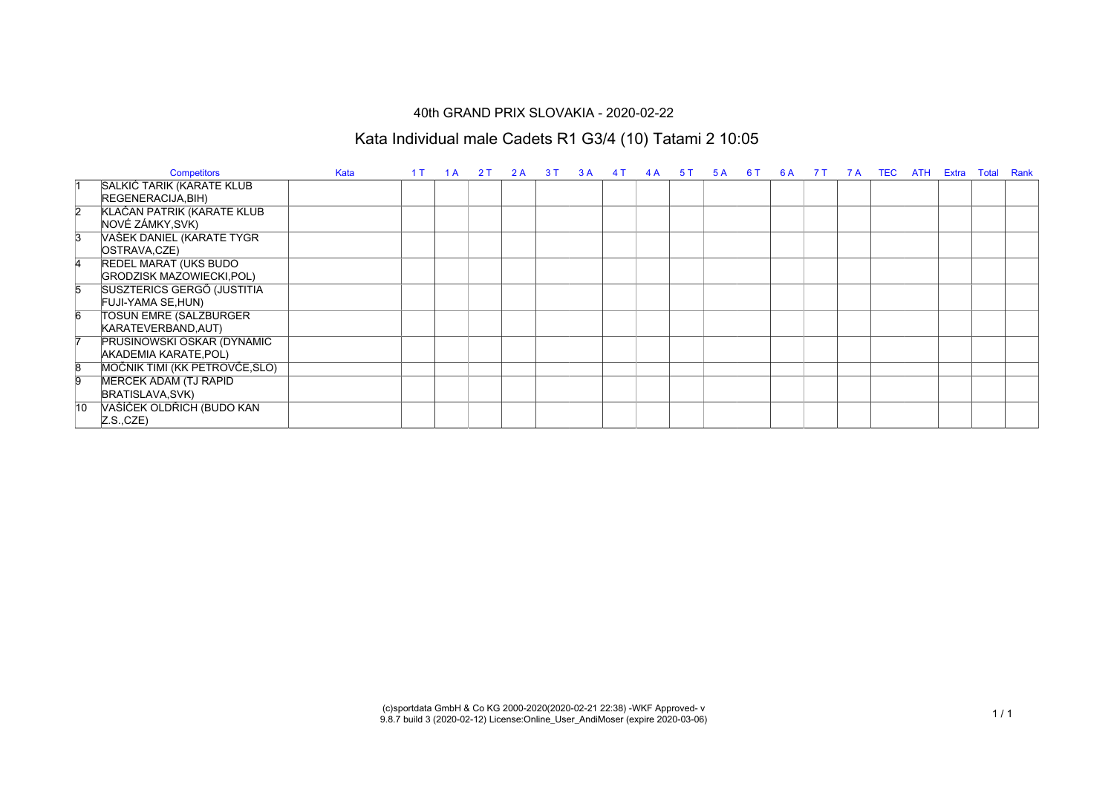# Kata Individual male Cadets R1 G3/4 (10) Tatami 2 10:05

|              | <b>Competitors</b>               | Kata | 1T | 1A | 2T |  | 2A 3T 3A 4T 4A 5T 5A 6T 6A 7T |  |  |  | 7 A |  | TEC ATH Extra Total Rank |  |
|--------------|----------------------------------|------|----|----|----|--|-------------------------------|--|--|--|-----|--|--------------------------|--|
|              | <b>SALKIĆ TARIK (KARATE KLUB</b> |      |    |    |    |  |                               |  |  |  |     |  |                          |  |
|              | REGENERACIJA, BIH)               |      |    |    |    |  |                               |  |  |  |     |  |                          |  |
| $\mathbf{2}$ | KLAČAN PATRIK (KARATE KLUB       |      |    |    |    |  |                               |  |  |  |     |  |                          |  |
|              | NOVÉ ZÁMKY, SVK)                 |      |    |    |    |  |                               |  |  |  |     |  |                          |  |
| $\vert$ 3    | VAŠEK DANIEL (KARATE TYGR        |      |    |    |    |  |                               |  |  |  |     |  |                          |  |
|              | OSTRAVA, CZE)                    |      |    |    |    |  |                               |  |  |  |     |  |                          |  |
|              | <b>REDEL MARAT (UKS BUDO</b>     |      |    |    |    |  |                               |  |  |  |     |  |                          |  |
|              | <b>GRODZISK MAZOWIECKI, POL)</b> |      |    |    |    |  |                               |  |  |  |     |  |                          |  |
| 5            | SUSZTERICS GERGŐ (JUSTITIA       |      |    |    |    |  |                               |  |  |  |     |  |                          |  |
|              | FUJI-YAMA SE, HUN)               |      |    |    |    |  |                               |  |  |  |     |  |                          |  |
| 6            | <b>TOSUN EMRE (SALZBURGER)</b>   |      |    |    |    |  |                               |  |  |  |     |  |                          |  |
|              | KARATEVERBAND, AUT)              |      |    |    |    |  |                               |  |  |  |     |  |                          |  |
|              | PRUSINOWSKI OSKAR (DYNAMIC       |      |    |    |    |  |                               |  |  |  |     |  |                          |  |
|              | AKADEMIA KARATE, POL)            |      |    |    |    |  |                               |  |  |  |     |  |                          |  |
| 8            | MOČNIK TIMI (KK PETROVČE, SLO)   |      |    |    |    |  |                               |  |  |  |     |  |                          |  |
|              | <b>MERCEK ADAM (TJ RAPID</b>     |      |    |    |    |  |                               |  |  |  |     |  |                          |  |
|              | BRATISLAVA, SVK)                 |      |    |    |    |  |                               |  |  |  |     |  |                          |  |
| 10           | VAŠÍČEK OLDŘICH (BUDO KAN        |      |    |    |    |  |                               |  |  |  |     |  |                          |  |
|              | Z.S., CZE                        |      |    |    |    |  |                               |  |  |  |     |  |                          |  |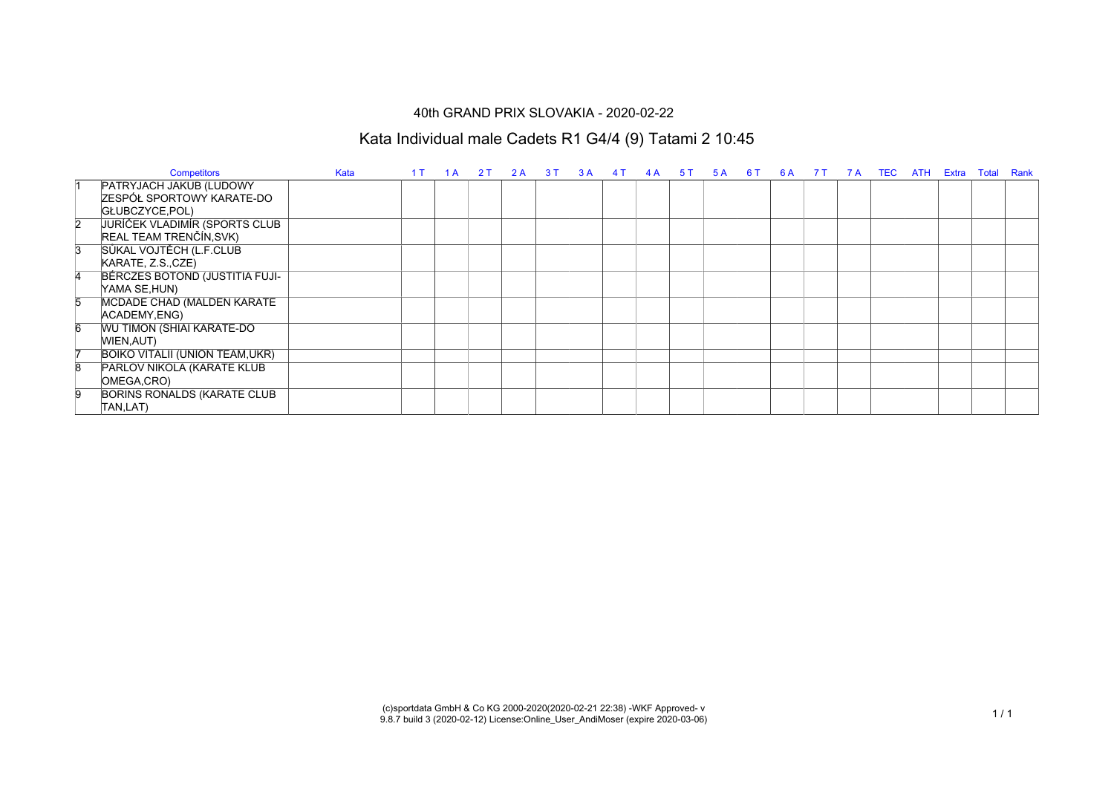# Kata Individual male Cadets R1 G4/4 (9) Tatami 2 10:45

|                 | <b>Competitors</b>                     | Kata | 1T | 1A | 2T |  |  |  | 2A 3T 3A 4T 4A 5T 5A 6T 6A 7T |  |  | 7 A TEC ATH Extra | Total | Rank |
|-----------------|----------------------------------------|------|----|----|----|--|--|--|-------------------------------|--|--|-------------------|-------|------|
|                 | PATRYJACH JAKUB (LUDOWY                |      |    |    |    |  |  |  |                               |  |  |                   |       |      |
|                 | ZESPÓŁ SPORTOWY KARATE-DO              |      |    |    |    |  |  |  |                               |  |  |                   |       |      |
|                 | GŁUBCZYCE, POL)                        |      |    |    |    |  |  |  |                               |  |  |                   |       |      |
| $\overline{2}$  | <b>JURÍČEK VLADIMÍR (SPORTS CLUB</b>   |      |    |    |    |  |  |  |                               |  |  |                   |       |      |
|                 | REAL TEAM TRENČÍN, SVK)                |      |    |    |    |  |  |  |                               |  |  |                   |       |      |
| k.              | SŮKAL VOJTĚCH (L.F.CLUB                |      |    |    |    |  |  |  |                               |  |  |                   |       |      |
|                 | KARATE, Z.S., CZE)                     |      |    |    |    |  |  |  |                               |  |  |                   |       |      |
| 4               | BÉRCZES BOTOND (JUSTITIA FUJI-         |      |    |    |    |  |  |  |                               |  |  |                   |       |      |
|                 | YAMA SE, HUN)                          |      |    |    |    |  |  |  |                               |  |  |                   |       |      |
| 5               | MCDADE CHAD (MALDEN KARATE             |      |    |    |    |  |  |  |                               |  |  |                   |       |      |
|                 | ACADEMY, ENG)                          |      |    |    |    |  |  |  |                               |  |  |                   |       |      |
| $\sqrt{6}$      | <b>WU TIMON (SHIAI KARATE-DO</b>       |      |    |    |    |  |  |  |                               |  |  |                   |       |      |
|                 | WIEN, AUT)                             |      |    |    |    |  |  |  |                               |  |  |                   |       |      |
|                 | <b>BOIKO VITALII (UNION TEAM, UKR)</b> |      |    |    |    |  |  |  |                               |  |  |                   |       |      |
| 18              | <b>PARLOV NIKOLA (KARATE KLUB</b>      |      |    |    |    |  |  |  |                               |  |  |                   |       |      |
|                 | OMEGA, CRO)                            |      |    |    |    |  |  |  |                               |  |  |                   |       |      |
| $\vert 9 \vert$ | <b>BORINS RONALDS (KARATE CLUB</b>     |      |    |    |    |  |  |  |                               |  |  |                   |       |      |
|                 | TAN,LAT)                               |      |    |    |    |  |  |  |                               |  |  |                   |       |      |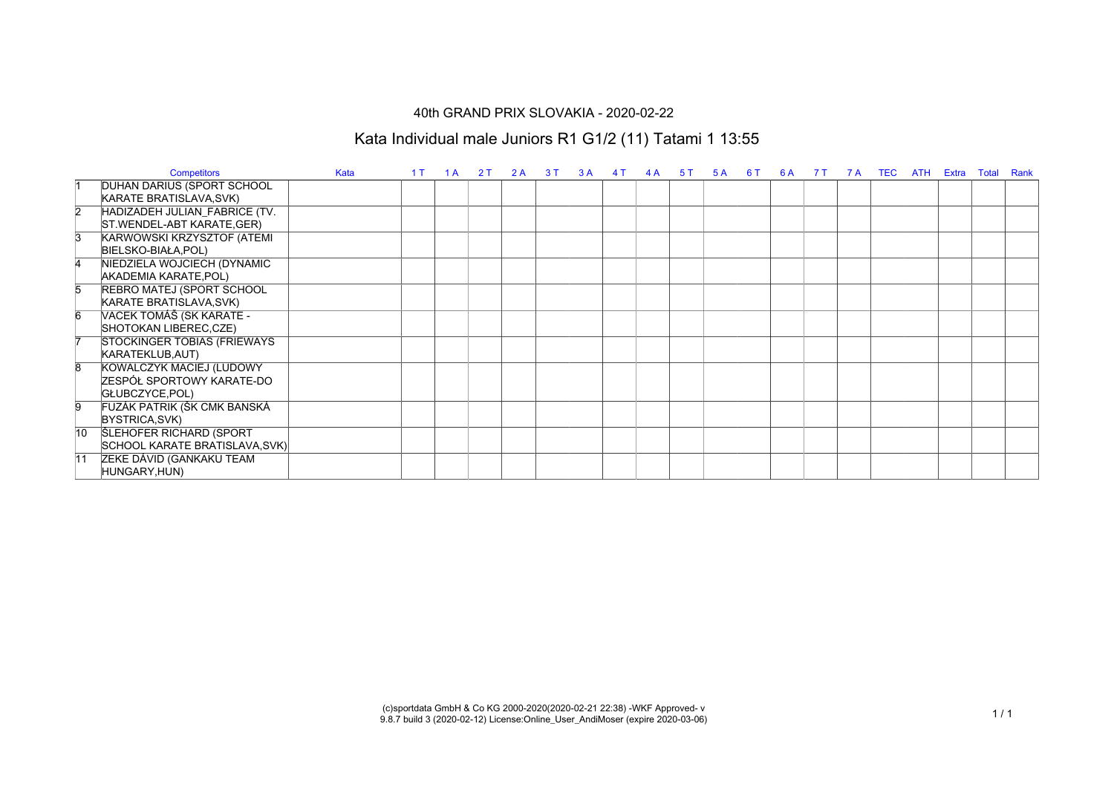# Kata Individual male Juniors R1 G1/2 (11) Tatami 1 13:55

|                | <b>Competitors</b>                 | Kata | 1T | 1A | 2T |  | 2A 3T 3A 4T 4A 5T 5A 6T 6A 7T |  |  |  |  |  | 7 A TEC ATH Extra Total Rank |  |
|----------------|------------------------------------|------|----|----|----|--|-------------------------------|--|--|--|--|--|------------------------------|--|
|                | <b>DUHAN DARIUS (SPORT SCHOOL</b>  |      |    |    |    |  |                               |  |  |  |  |  |                              |  |
|                | KARATE BRATISLAVA, SVK)            |      |    |    |    |  |                               |  |  |  |  |  |                              |  |
| $\overline{2}$ | HADIZADEH JULIAN_FABRICE (TV.      |      |    |    |    |  |                               |  |  |  |  |  |                              |  |
|                | ST.WENDEL-ABT KARATE, GER)         |      |    |    |    |  |                               |  |  |  |  |  |                              |  |
| 3              | KARWOWSKI KRZYSZTOF (ATEMI         |      |    |    |    |  |                               |  |  |  |  |  |                              |  |
|                | BIELSKO-BIAŁA, POL)                |      |    |    |    |  |                               |  |  |  |  |  |                              |  |
|                | NIEDZIELA WOJCIECH (DYNAMIC        |      |    |    |    |  |                               |  |  |  |  |  |                              |  |
|                | AKADEMIA KARATE, POL)              |      |    |    |    |  |                               |  |  |  |  |  |                              |  |
|                | <b>REBRO MATEJ (SPORT SCHOOL</b>   |      |    |    |    |  |                               |  |  |  |  |  |                              |  |
|                | KARATE BRATISLAVA, SVK)            |      |    |    |    |  |                               |  |  |  |  |  |                              |  |
|                | VACEK TOMÁŠ (SK KARATE -           |      |    |    |    |  |                               |  |  |  |  |  |                              |  |
|                | SHOTOKAN LIBEREC, CZE)             |      |    |    |    |  |                               |  |  |  |  |  |                              |  |
|                | <b>STOCKINGER TOBIAS (FRIEWAYS</b> |      |    |    |    |  |                               |  |  |  |  |  |                              |  |
|                | KARATEKLUB, AUT)                   |      |    |    |    |  |                               |  |  |  |  |  |                              |  |
| $\mathsf{B}$   | KOWALCZYK MACIEJ (LUDOWY           |      |    |    |    |  |                               |  |  |  |  |  |                              |  |
|                | ZESPÓŁ SPORTOWY KARATE-DO          |      |    |    |    |  |                               |  |  |  |  |  |                              |  |
|                | GŁUBCZYCE, POL)                    |      |    |    |    |  |                               |  |  |  |  |  |                              |  |
|                | FUZÁK PATRIK (ŠK CMK BANSKÁ        |      |    |    |    |  |                               |  |  |  |  |  |                              |  |
|                | BYSTRICA, SVK)                     |      |    |    |    |  |                               |  |  |  |  |  |                              |  |
| 10             | ŠLEHOFER RICHARD (SPORT            |      |    |    |    |  |                               |  |  |  |  |  |                              |  |
|                | SCHOOL KARATE BRATISLAVA, SVK)     |      |    |    |    |  |                               |  |  |  |  |  |                              |  |
| 11             | ZEKE DÁVID (GANKAKU TEAM           |      |    |    |    |  |                               |  |  |  |  |  |                              |  |
|                | HUNGARY, HUN)                      |      |    |    |    |  |                               |  |  |  |  |  |                              |  |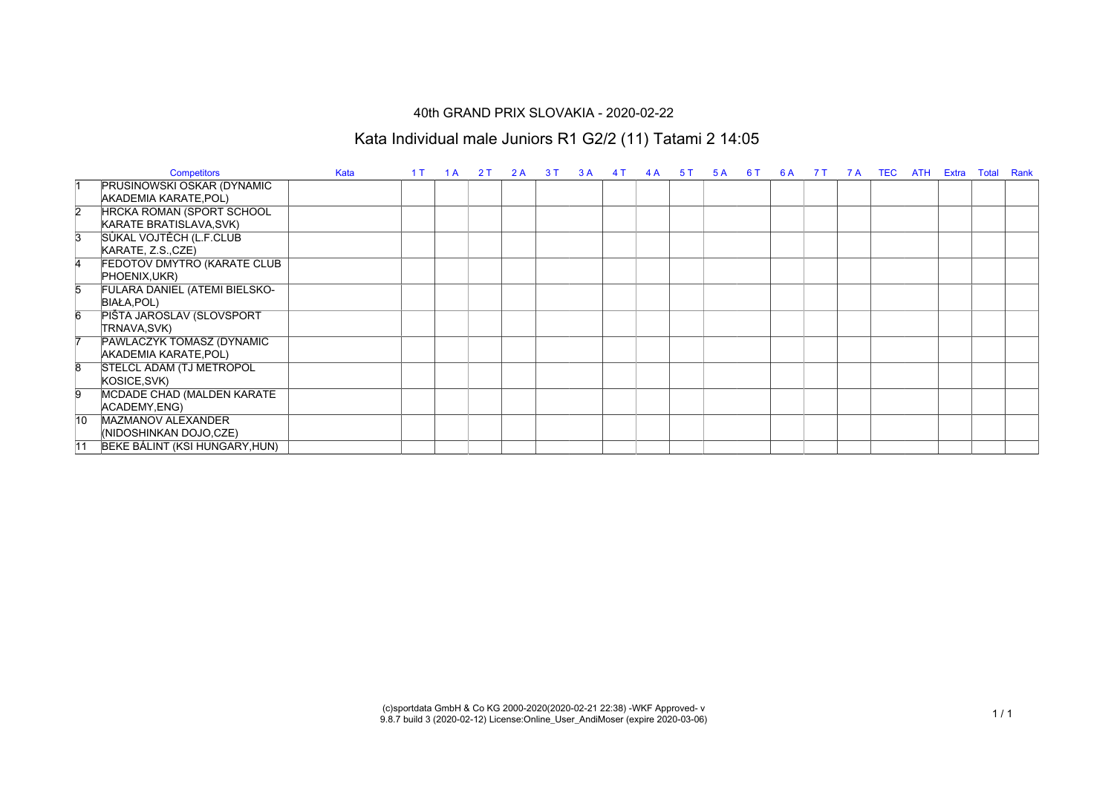# Kata Individual male Juniors R1 G2/2 (11) Tatami 2 14:05

|                | <b>Competitors</b>                   | Kata | 1T | 1A | 2T |  | 2A 3T 3A 4T 4A 5T |  |  |  | 5A 6T 6A 7T | 7 A |  | TEC ATH Extra Total Rank |  |
|----------------|--------------------------------------|------|----|----|----|--|-------------------|--|--|--|-------------|-----|--|--------------------------|--|
|                | PRUSINOWSKI OSKAR (DYNAMIC           |      |    |    |    |  |                   |  |  |  |             |     |  |                          |  |
|                | AKADEMIA KARATE, POL)                |      |    |    |    |  |                   |  |  |  |             |     |  |                          |  |
| $\vert$ 2      | <b>HRCKA ROMAN (SPORT SCHOOL</b>     |      |    |    |    |  |                   |  |  |  |             |     |  |                          |  |
|                | KARATE BRATISLAVA, SVK)              |      |    |    |    |  |                   |  |  |  |             |     |  |                          |  |
| $\overline{3}$ | SŮKAL VOJTĚCH (L.F.CLUB              |      |    |    |    |  |                   |  |  |  |             |     |  |                          |  |
|                | KARATE, Z.S., CZE)                   |      |    |    |    |  |                   |  |  |  |             |     |  |                          |  |
|                | <b>FEDOTOV DMYTRO (KARATE CLUB</b>   |      |    |    |    |  |                   |  |  |  |             |     |  |                          |  |
|                | PHOENIX, UKR)                        |      |    |    |    |  |                   |  |  |  |             |     |  |                          |  |
| 5              | <b>FULARA DANIEL (ATEMI BIELSKO-</b> |      |    |    |    |  |                   |  |  |  |             |     |  |                          |  |
|                | BIAŁA, POL)                          |      |    |    |    |  |                   |  |  |  |             |     |  |                          |  |
| $\overline{6}$ | PIŠTA JAROSLAV (SLOVSPORT            |      |    |    |    |  |                   |  |  |  |             |     |  |                          |  |
|                | TRNAVA, SVK)                         |      |    |    |    |  |                   |  |  |  |             |     |  |                          |  |
|                | <b>PAWLACZYK TOMASZ (DYNAMIC</b>     |      |    |    |    |  |                   |  |  |  |             |     |  |                          |  |
|                | AKADEMIA KARATE, POL)                |      |    |    |    |  |                   |  |  |  |             |     |  |                          |  |
| $\mathsf{B}$   | <b>STELCL ADAM (TJ METROPOL</b>      |      |    |    |    |  |                   |  |  |  |             |     |  |                          |  |
|                | KOSICE, SVK)                         |      |    |    |    |  |                   |  |  |  |             |     |  |                          |  |
| $\overline{9}$ | MCDADE CHAD (MALDEN KARATE           |      |    |    |    |  |                   |  |  |  |             |     |  |                          |  |
|                | ACADEMY, ENG)                        |      |    |    |    |  |                   |  |  |  |             |     |  |                          |  |
| 10             | MAZMANOV ALEXANDER                   |      |    |    |    |  |                   |  |  |  |             |     |  |                          |  |
|                | (NIDOSHINKAN DOJO,CZE)               |      |    |    |    |  |                   |  |  |  |             |     |  |                          |  |
| 11             | BEKE BÁLINT (KSI HUNGARY, HUN)       |      |    |    |    |  |                   |  |  |  |             |     |  |                          |  |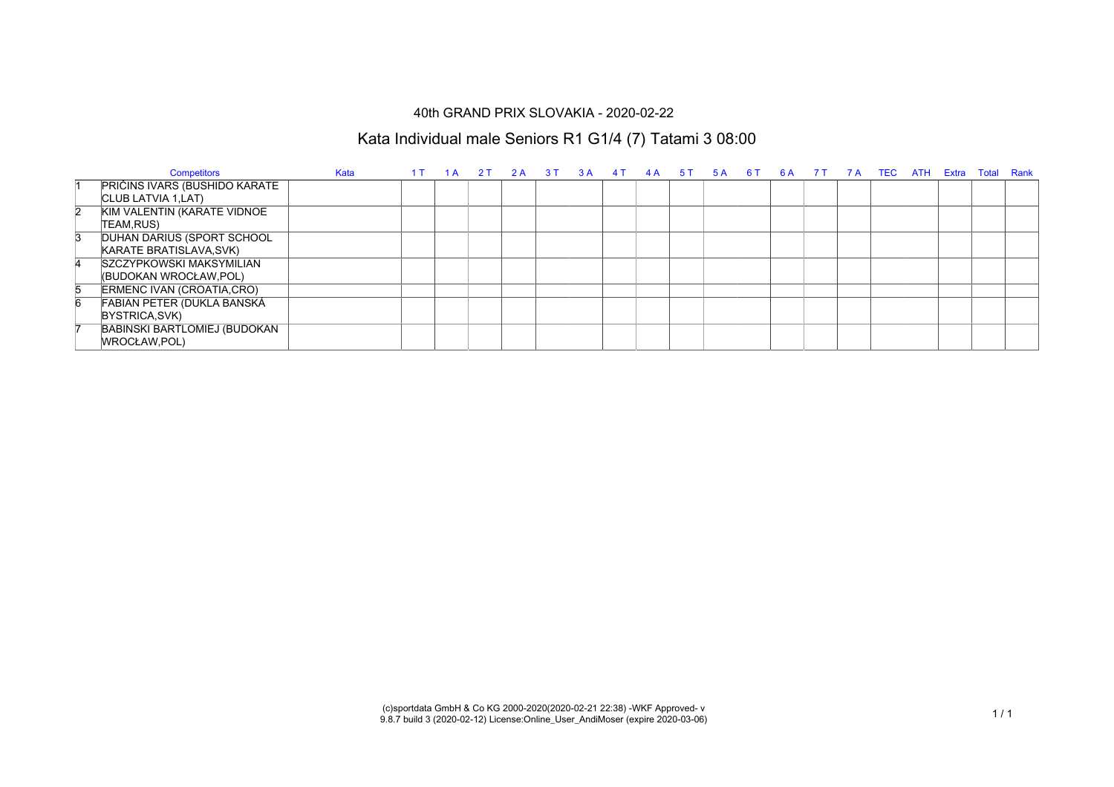# Kata Individual male Seniors R1 G1/4 (7) Tatami 3 08:00

|              | <b>Competitors</b>                   | Kata | 1 A | 2T |  |  |  |  |  |  | 2A 3T 3A 4T 4A 5T 5A 6T 6A 7T 7A TEC ATH Extra Total | Rank |
|--------------|--------------------------------------|------|-----|----|--|--|--|--|--|--|------------------------------------------------------|------|
|              | <b>PRIČINS IVARS (BUSHIDO KARATE</b> |      |     |    |  |  |  |  |  |  |                                                      |      |
|              | CLUB LATVIA 1, LAT)                  |      |     |    |  |  |  |  |  |  |                                                      |      |
| 2            | KIM VALENTIN (KARATE VIDNOE          |      |     |    |  |  |  |  |  |  |                                                      |      |
|              | TEAM, RUS)                           |      |     |    |  |  |  |  |  |  |                                                      |      |
| $\mathbf{3}$ | DUHAN DARIUS (SPORT SCHOOL           |      |     |    |  |  |  |  |  |  |                                                      |      |
|              | KARATE BRATISLAVA, SVK)              |      |     |    |  |  |  |  |  |  |                                                      |      |
| 4            | SZCZYPKOWSKI MAKSYMILIAN             |      |     |    |  |  |  |  |  |  |                                                      |      |
|              | (BUDOKAN WROCŁAW, POL)               |      |     |    |  |  |  |  |  |  |                                                      |      |
| 5            | ERMENC IVAN (CROATIA,CRO)            |      |     |    |  |  |  |  |  |  |                                                      |      |
|              | <b>FABIAN PETER (DUKLA BANSKÁ</b>    |      |     |    |  |  |  |  |  |  |                                                      |      |
|              | BYSTRICA, SVK)                       |      |     |    |  |  |  |  |  |  |                                                      |      |
|              | <b>BABINSKI BARTLOMIEJ (BUDOKAN</b>  |      |     |    |  |  |  |  |  |  |                                                      |      |
|              | WROCŁAW, POL)                        |      |     |    |  |  |  |  |  |  |                                                      |      |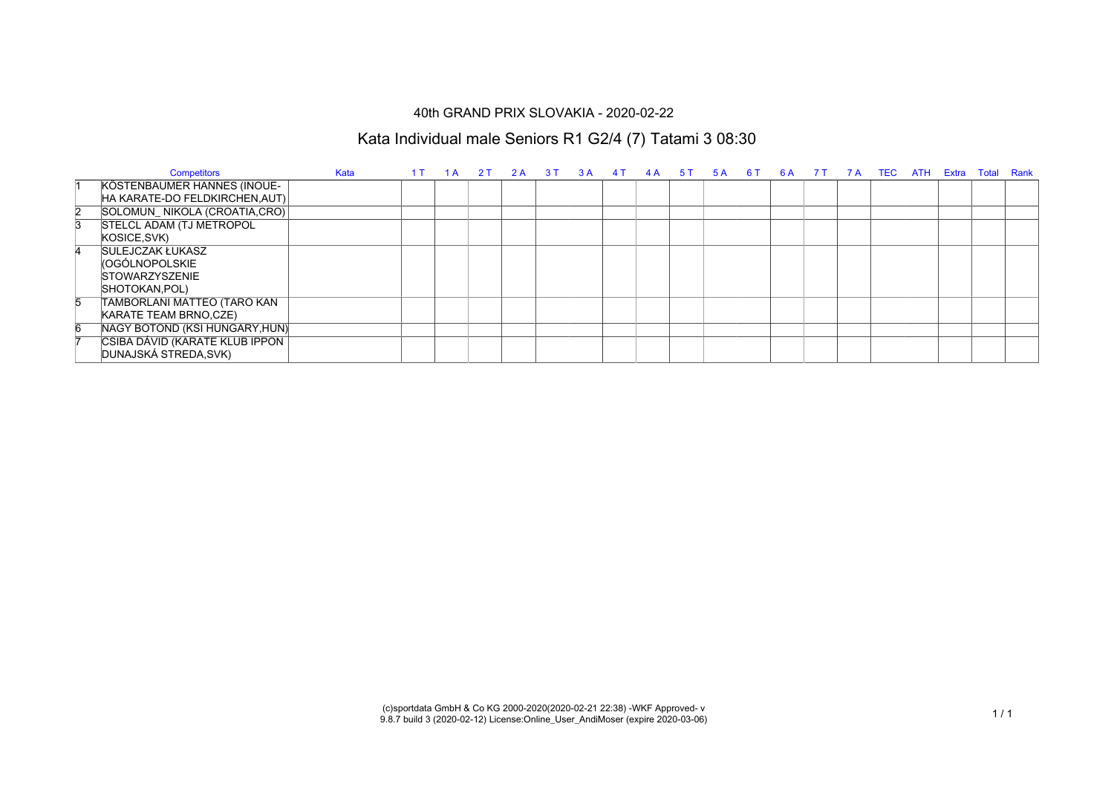# Kata Individual male Seniors R1 G2/4 (7) Tatami 3 08:30

|              | <b>Competitors</b>             | Kata | 1 A | 2T | 2 A | 3T | $3A$ 4T | 4 A | 5 T | 5 A | 6 T | 6 A | 7T | 7 A | <b>TEC</b> | ATH | Extra | Total | Rank |
|--------------|--------------------------------|------|-----|----|-----|----|---------|-----|-----|-----|-----|-----|----|-----|------------|-----|-------|-------|------|
|              | KÖSTENBAUMER HANNES (INOUE-    |      |     |    |     |    |         |     |     |     |     |     |    |     |            |     |       |       |      |
|              | HA KARATE-DO FELDKIRCHEN, AUT) |      |     |    |     |    |         |     |     |     |     |     |    |     |            |     |       |       |      |
| $\mathsf{2}$ | SOLOMUN_NIKOLA (CROATIA,CRO)   |      |     |    |     |    |         |     |     |     |     |     |    |     |            |     |       |       |      |
|              | STELCL ADAM (TJ METROPOL       |      |     |    |     |    |         |     |     |     |     |     |    |     |            |     |       |       |      |
|              | KOSICE, SVK)                   |      |     |    |     |    |         |     |     |     |     |     |    |     |            |     |       |       |      |
| 14           | <b>SULEJCZAK ŁUKASZ</b>        |      |     |    |     |    |         |     |     |     |     |     |    |     |            |     |       |       |      |
|              | <b>COGÓLNOPOLSKIE</b>          |      |     |    |     |    |         |     |     |     |     |     |    |     |            |     |       |       |      |
|              | <b>STOWARZYSZENIE</b>          |      |     |    |     |    |         |     |     |     |     |     |    |     |            |     |       |       |      |
|              | SHOTOKAN, POL)                 |      |     |    |     |    |         |     |     |     |     |     |    |     |            |     |       |       |      |
| 15           | TAMBORLANI MATTEO (TARO KAN    |      |     |    |     |    |         |     |     |     |     |     |    |     |            |     |       |       |      |
|              | KARATE TEAM BRNO, CZE)         |      |     |    |     |    |         |     |     |     |     |     |    |     |            |     |       |       |      |
| $6^{\circ}$  | NAGY BOTOND (KSI HUNGARY, HUN) |      |     |    |     |    |         |     |     |     |     |     |    |     |            |     |       |       |      |
|              | CSIBA DÁVID (KARATE KLUB IPPON |      |     |    |     |    |         |     |     |     |     |     |    |     |            |     |       |       |      |
|              | DUNAJSKÁ STREDA, SVK)          |      |     |    |     |    |         |     |     |     |     |     |    |     |            |     |       |       |      |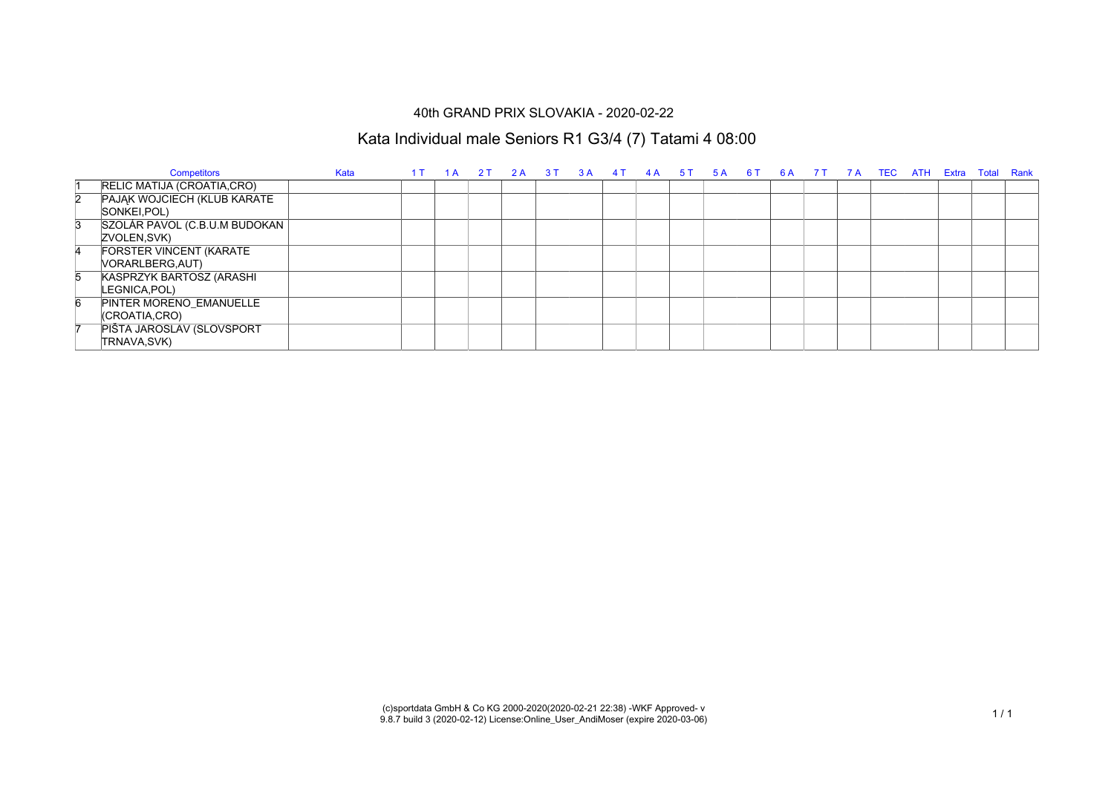# Kata Individual male Seniors R1 G3/4 (7) Tatami 4 08:00

|                | <b>Competitors</b>             | Kata | 1 A | $\sim$ 2 T |  |  |  |  |  |  | 2A 3T 3A 4T 4A 5T 5A 6T 6A 7T 7A TEC ATH Extra Total | Rank |
|----------------|--------------------------------|------|-----|------------|--|--|--|--|--|--|------------------------------------------------------|------|
|                | RELIC MATIJA (CROATIA,CRO)     |      |     |            |  |  |  |  |  |  |                                                      |      |
| $\overline{2}$ | PAJĄK WOJCIECH (KLUB KARATE    |      |     |            |  |  |  |  |  |  |                                                      |      |
|                | SONKEI, POL)                   |      |     |            |  |  |  |  |  |  |                                                      |      |
| $\mathbf{3}$   | SZOLÁR PAVOL (C.B.U.M BUDOKAN  |      |     |            |  |  |  |  |  |  |                                                      |      |
|                | ZVOLEN, SVK)                   |      |     |            |  |  |  |  |  |  |                                                      |      |
| <sup>4</sup>   | <b>FORSTER VINCENT (KARATE</b> |      |     |            |  |  |  |  |  |  |                                                      |      |
|                | VORARLBERG, AUT)               |      |     |            |  |  |  |  |  |  |                                                      |      |
| 5              | KASPRZYK BARTOSZ (ARASHI       |      |     |            |  |  |  |  |  |  |                                                      |      |
|                | LEGNICA, POL)                  |      |     |            |  |  |  |  |  |  |                                                      |      |
| 6              | <b>PINTER MORENO EMANUELLE</b> |      |     |            |  |  |  |  |  |  |                                                      |      |
|                | (CROATIA,CRO)                  |      |     |            |  |  |  |  |  |  |                                                      |      |
|                | PIŠTA JAROSLAV (SLOVSPORT      |      |     |            |  |  |  |  |  |  |                                                      |      |
|                | TRNAVA, SVK)                   |      |     |            |  |  |  |  |  |  |                                                      |      |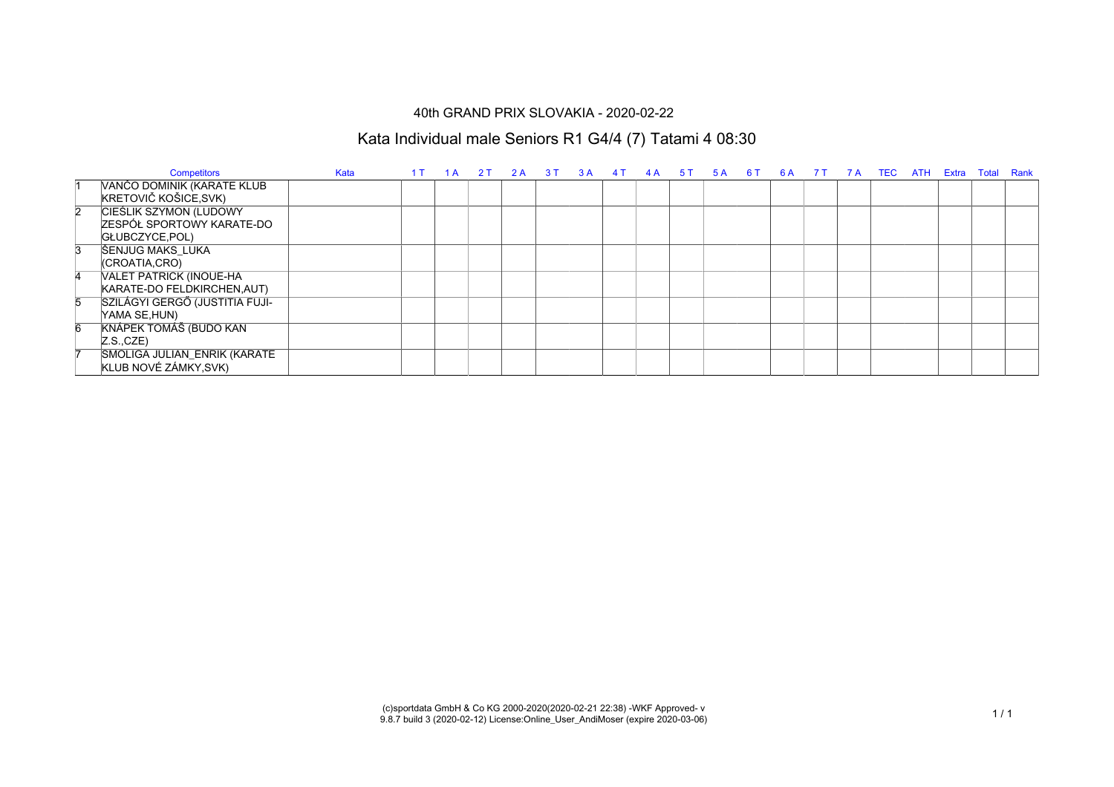# Kata Individual male Seniors R1 G4/4 (7) Tatami 4 08:30

|    | <b>Competitors</b>             | Kata | 1 A | 2T | 2A | 3T | 3A | 4T | 4 A | 5T | 5 A | 6 T | 6 A | 7 T | 7 A | TEC | ATH | Extra | Total | Rank |
|----|--------------------------------|------|-----|----|----|----|----|----|-----|----|-----|-----|-----|-----|-----|-----|-----|-------|-------|------|
|    | VANČO DOMINIK (KARATE KLUB     |      |     |    |    |    |    |    |     |    |     |     |     |     |     |     |     |       |       |      |
|    | KRETOVIČ KOŠICE, SVK)          |      |     |    |    |    |    |    |     |    |     |     |     |     |     |     |     |       |       |      |
| 12 | CIEŚLIK SZYMON (LUDOWY         |      |     |    |    |    |    |    |     |    |     |     |     |     |     |     |     |       |       |      |
|    | ZESPÓŁ SPORTOWY KARATE-DO      |      |     |    |    |    |    |    |     |    |     |     |     |     |     |     |     |       |       |      |
|    | GŁUBCZYCE, POL)                |      |     |    |    |    |    |    |     |    |     |     |     |     |     |     |     |       |       |      |
|    | ŠENJUG MAKS LUKA               |      |     |    |    |    |    |    |     |    |     |     |     |     |     |     |     |       |       |      |
|    | (CROATIA,CRO)                  |      |     |    |    |    |    |    |     |    |     |     |     |     |     |     |     |       |       |      |
| 14 | <b>VALET PATRICK (INOUE-HA</b> |      |     |    |    |    |    |    |     |    |     |     |     |     |     |     |     |       |       |      |
|    | KARATE-DO FELDKIRCHEN, AUT)    |      |     |    |    |    |    |    |     |    |     |     |     |     |     |     |     |       |       |      |
|    | SZILÁGYI GERGŐ (JUSTITIA FUJI- |      |     |    |    |    |    |    |     |    |     |     |     |     |     |     |     |       |       |      |
|    | YAMA SE, HUN)                  |      |     |    |    |    |    |    |     |    |     |     |     |     |     |     |     |       |       |      |
| l6 | KNÁPEK TOMÁŠ (BUDO KAN         |      |     |    |    |    |    |    |     |    |     |     |     |     |     |     |     |       |       |      |
|    | Z.S., CZE                      |      |     |    |    |    |    |    |     |    |     |     |     |     |     |     |     |       |       |      |
|    | SMOLIGA JULIAN_ENRIK (KARATE   |      |     |    |    |    |    |    |     |    |     |     |     |     |     |     |     |       |       |      |
|    | KLUB NOVÉ ZÁMKY, SVK)          |      |     |    |    |    |    |    |     |    |     |     |     |     |     |     |     |       |       |      |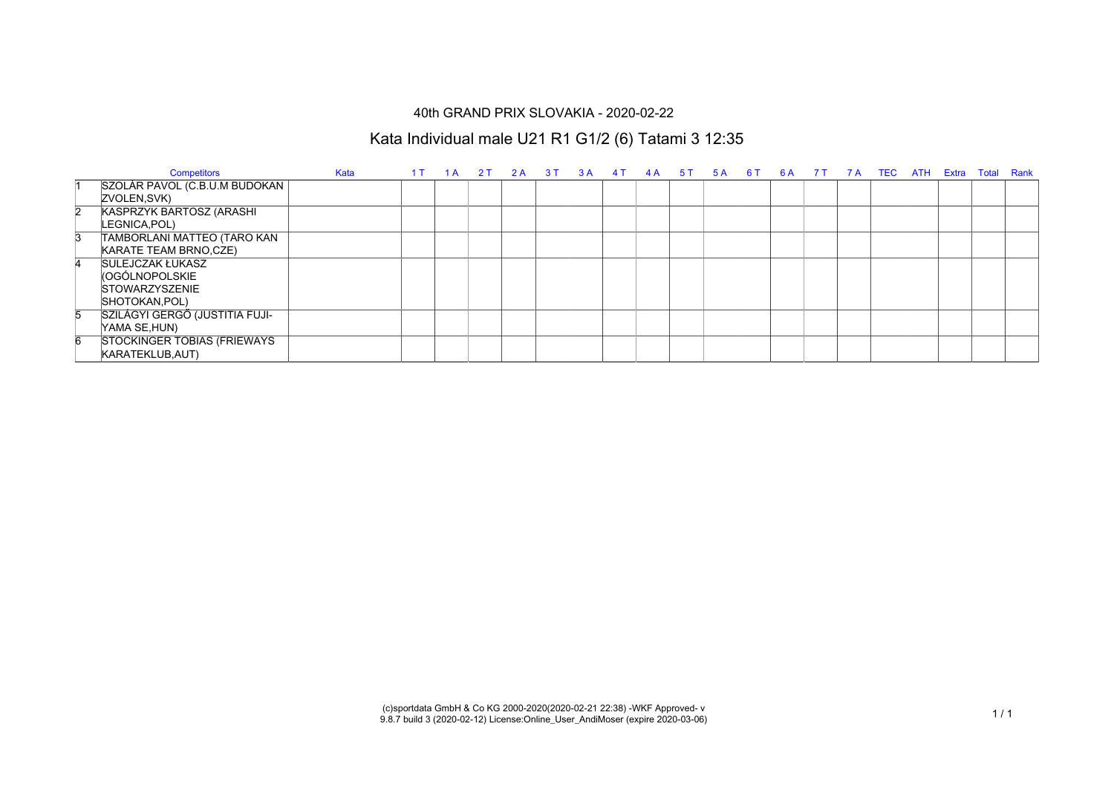# Kata Individual male U21 R1 G1/2 (6) Tatami 3 12:35

|              | <b>Competitors</b>             | Kata | 1T | <b>1 A</b> | 2T | 2A | 3T | $3A$ 4T | 4 A | 5T | <b>5A</b> | 6 T | 6 A | 7T | <b>7A</b> | <b>TEC</b> | ATH | Extra | Total | Rank |
|--------------|--------------------------------|------|----|------------|----|----|----|---------|-----|----|-----------|-----|-----|----|-----------|------------|-----|-------|-------|------|
|              | SZOLÁR PAVOL (C.B.U.M BUDOKAN) |      |    |            |    |    |    |         |     |    |           |     |     |    |           |            |     |       |       |      |
|              | ZVOLEN, SVK)                   |      |    |            |    |    |    |         |     |    |           |     |     |    |           |            |     |       |       |      |
| $\mathsf{2}$ | KASPRZYK BARTOSZ (ARASHI       |      |    |            |    |    |    |         |     |    |           |     |     |    |           |            |     |       |       |      |
|              | LEGNICA, POL)                  |      |    |            |    |    |    |         |     |    |           |     |     |    |           |            |     |       |       |      |
| 3            | TAMBORLANI MATTEO (TARO KAN    |      |    |            |    |    |    |         |     |    |           |     |     |    |           |            |     |       |       |      |
|              | KARATE TEAM BRNO, CZE)         |      |    |            |    |    |    |         |     |    |           |     |     |    |           |            |     |       |       |      |
| 14           | SULEJCZAK ŁUKASZ               |      |    |            |    |    |    |         |     |    |           |     |     |    |           |            |     |       |       |      |
|              | <b>(OGÓLNOPOLSKIE</b>          |      |    |            |    |    |    |         |     |    |           |     |     |    |           |            |     |       |       |      |
|              | <b>STOWARZYSZENIE</b>          |      |    |            |    |    |    |         |     |    |           |     |     |    |           |            |     |       |       |      |
|              | SHOTOKAN, POL)                 |      |    |            |    |    |    |         |     |    |           |     |     |    |           |            |     |       |       |      |
| 15           | SZILÁGYI GERGŐ (JUSTITIA FUJI- |      |    |            |    |    |    |         |     |    |           |     |     |    |           |            |     |       |       |      |
|              | YAMA SE, HUN)                  |      |    |            |    |    |    |         |     |    |           |     |     |    |           |            |     |       |       |      |
| 6            | STOCKINGER TOBIAS (FRIEWAYS    |      |    |            |    |    |    |         |     |    |           |     |     |    |           |            |     |       |       |      |
|              | KARATEKLUB, AUT)               |      |    |            |    |    |    |         |     |    |           |     |     |    |           |            |     |       |       |      |